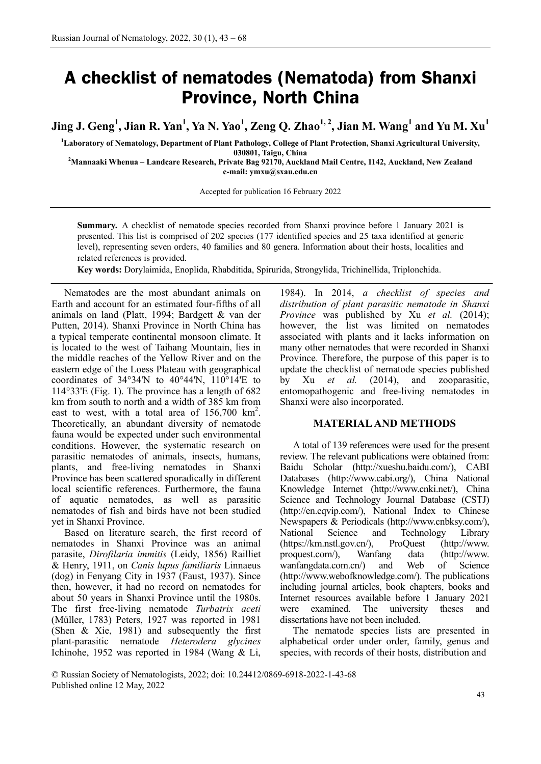# **A checklist of nematodes (Nematoda) from Shanxi Province, North China**

Jing J. Geng<sup>1</sup>, Jian R. Yan<sup>1</sup>, Ya N. Yao<sup>1</sup>, Zeng Q. Zhao<sup>1, 2</sup>, Jian M. Wang<sup>1</sup> and Yu M. Xu<sup>1</sup>

**1 Laboratory of Nematology, Department of Plant Pathology, College of Plant Protection, Shanxi Agricultural University,**

**030801, Taigu, China <sup>2</sup> Mannaaki Whenua – Landcare Research, Private Bag 92170, Auckland Mail Centre, 1142, Auckland, New Zealand e-mail: [ymxu@s](about:blank)xau.edu.cn**

Accepted for publication 16 February 2022

**Summary.** A checklist of nematode species recorded from Shanxi province before 1 January 2021 is presented. This list is comprised of 202 species (177 identified species and 25 taxa identified at generic level), representing seven orders, 40 families and 80 genera. Information about their hosts, localities and related references is provided.

**Key words:** Dorylaimida, Enoplida, Rhabditida, Spirurida, Strongylida, Trichinellida, Triplonchida.

Nematodes are the most abundant animals on Earth and account for an estimated four-fifths of all animals on land (Platt, 1994; Bardgett & van der Putten, 2014). Shanxi Province in North China has a typical temperate continental monsoon climate. It is located to the west of Taihang Mountain, lies in the middle reaches of the Yellow River and on the eastern edge of the Loess Plateau with geographical coordinates of 34°34'N to 40°44'N, 110°14'E to 114°33'E (Fig. 1). The province has a length of 682 km from south to north and a width of 385 km from east to west, with a total area of  $156,700 \text{ km}^2$ . Theoretically, an abundant diversity of nematode fauna would be expected under such environmental conditions. However, the systematic research on parasitic nematodes of animals, insects, humans, plants, and free-living nematodes in Shanxi Province has been scattered sporadically in different local scientific references. Furthermore, the fauna of aquatic nematodes, as well as parasitic nematodes of fish and birds have not been studied yet in Shanxi Province.

Based on literature search, the first record of nematodes in Shanxi Province was an animal parasite, *Dirofilaria immitis* (Leidy, 1856) Railliet & Henry, 1911, on *Canis lupus familiaris* Linnaeus (dog) in Fenyang City in 1937 (Faust, 1937). Since then, however, it had no record on nematodes for about 50 years in Shanxi Province until the 1980s. The first free-living nematode *Turbatrix aceti* (Müller, 1783) Peters, 1927 was reported in 1981 (Shen & Xie, 1981) and subsequently the first plant-parasitic nematode *Heterodera glycines*  Ichinohe, 1952 was reported in 1984 (Wang & Li,

1984). In 2014, *a checklist of species and distribution of plant parasitic nematode in Shanxi Province* was published by Xu *et al.* (2014); however, the list was limited on nematodes associated with plants and it lacks information on many other nematodes that were recorded in Shanxi Province. Therefore, the purpose of this paper is to update the checklist of nematode species published by Xu *et al.* (2014), and zooparasitic, entomopathogenic and free-living nematodes in Shanxi were also incorporated.

#### **MATERIAL AND METHODS**

A total of 139 references were used for the present review. The relevant publications were obtained from: Baidu Scholar (http://xueshu.baidu.com/), CABI Databases [\(http://www.cabi.org/\)](http://www.cabi.org/), China National Knowledge Internet [\(http://www.cnki.net/\)](http://www.cnki.net/), China Science and Technology Journal Database (CSTJ) (http://en.cqvip.com/), National Index to Chinese Newspapers & Periodicals [\(http://www.cnbksy.com/\)](http://www.cnbksy.com/), National Science and Technology Library [\(https://km.nstl.gov.cn/\)](https://km.nstl.gov.cn/), ProQuest (http://www. proquest.com/), Wanfang data [\(http://www.](http://www/) wanfangdata.com.cn/) and Web of Science (http://www.webofknowledge.com/). The publications including journal articles, book chapters, books and Internet resources available before 1 January 2021 were examined. The university theses and dissertations have not been included.

The nematode species lists are presented in alphabetical order under order, family, genus and species, with records of their hosts, distribution and

© Russian Society of Nematologists, 2022; doi: 10.24412/0869-6918-2022-1-43-68 Published online 12 May, 2022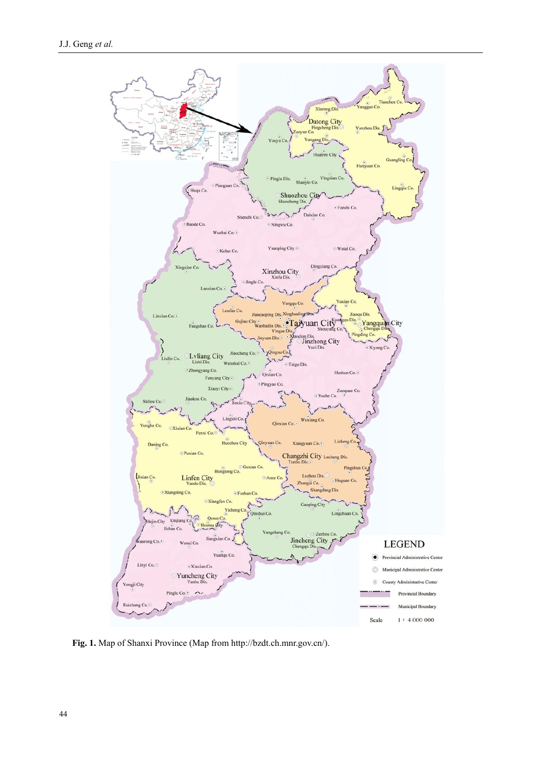

**Fig. 1.** Map of Shanxi Province (Map fro[m http://bzdt.ch.mnr.gov.cn/\)](http://bzdt.ch.mnr.gov.cn/).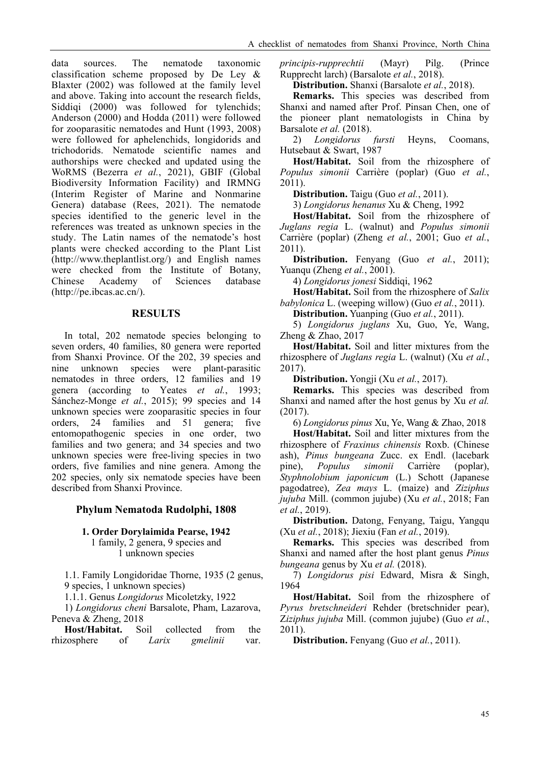data sources. The nematode taxonomic classification scheme proposed by De Ley & Blaxter (2002) was followed at the family level and above. Taking into account the research fields, Siddiqi (2000) was followed for tylenchids; Anderson (2000) and Hodda (2011) were followed for zooparasitic nematodes and Hunt (1993, 2008) were followed for aphelenchids, longidorids and trichodorids. Nematode scientific names and authorships were checked and updated using the WoRMS (Bezerra *et al.*, 2021), GBIF (Global Biodiversity Information Facility) and IRMNG (Interim Register of Marine and Nonmarine Genera) database (Rees, 2021). The nematode species identified to the generic level in the references was treated as unknown species in the study. The Latin names of the nematode's host plants were checked according to the Plant List (http://www.theplantlist.org/) and English names were checked from the Institute of Botany, Chinese Academy of Sciences database (http://pe.ibcas.ac.cn/).

## **RESULTS**

In total, 202 nematode species belonging to seven orders, 40 families, 80 genera were reported from Shanxi Province. Of the 202, 39 species and nine unknown species were plant-parasitic nematodes in three orders, 12 families and 19 genera (according to Yeates *et al.*, 1993; Sánchez-Monge *et al.*, 2015); 99 species and 14 unknown species were zooparasitic species in four orders, 24 families and 51 genera; five entomopathogenic species in one order, two families and two genera; and 34 species and two unknown species were free-living species in two orders, five families and nine genera. Among the 202 species, only six nematode species have been described from Shanxi Province.

## **Phylum Nematoda Rudolphi, 1808**

## **1. Order Dorylaimida Pearse, 1942**

1 family, 2 genera, 9 species and 1 unknown species

1.1. Family Longidoridae Thorne, 1935 (2 genus, 9 species, 1 unknown species)

1.1.1. Genus *Longidorus* Micoletzky, 1922

1) *Longidorus cheni* Barsalote, Pham, Lazarova, Peneva & Zheng, 2018

**Host/Habitat.** Soil collected from the rhizosphere of *Larix gmelinii* var. *principis-rupprechtii* (Mayr) Pilg. (Prince Rupprecht larch) (Barsalote *et al.*, 2018).

**Distribution.** Shanxi (Barsalote *et al.*, 2018).

**Remarks.** This species was described from Shanxi and named after Prof. Pinsan Chen, one of the pioneer plant nematologists in China by Barsalote *et al.* (2018).

2) *Longidorus fursti* Heyns, Coomans, Hutsebaut & Swart, 1987

**Host/Habitat.** Soil from the rhizosphere of *Populus simonii* Carrière (poplar) (Guo *et al.*, 2011).

**Distribution.** Taigu (Guo *et al.*, 2011).

3) *Longidorus henanus* Xu & Cheng, 1992

**Host/Habitat.** Soil from the rhizosphere of *Juglans regia* L. (walnut) and *Populus simonii* Carrière (poplar) (Zheng *et al.*, 2001; Guo *et al.*, 2011).

**Distribution.** Fenyang (Guo *et al.*, 2011); Yuanqu (Zheng *et al.*, 2001).

4) *Longidorus jonesi* [Siddiqi, 1962](https://www.ncbi.nlm.nih.gov/pmc/articles/PMC6909360/)

**Host/Habitat.** Soil from the rhizosphere of *Salix babylonica* L. (weeping willow) (Guo *et al.*, 2011).

**Distribution.** Yuanping (Guo *et al.*, 2011).

5) *Longidorus juglans* Xu, Guo, Ye, Wang, Zheng & Zhao, 2017

**Host/Habitat.** Soil and litter mixtures from the rhizosphere of *Juglans regia* L. (walnut) (Xu *et al.*, 2017).

**Distribution.** Yongji (Xu *et al.*, 2017).

**Remarks.** This species was described from Shanxi and named after the host genus by Xu *et al.* (2017).

6) *Longidorus pinus* Xu, Ye, Wang & Zhao, 2018

**Host/Habitat.** Soil and litter mixtures from the rhizosphere of *Fraxinus chinensis* Roxb. (Chinese ash), *Pinus bungeana* Zucc. ex Endl. (lacebark pine), *Populus simonii* Carrière (poplar), *Styphnolobium japonicum* (L.) Schott (Japanese pagodatree), *Zea mays* L. (maize) and *Ziziphus jujuba* Mill. (common jujube) (Xu *et al.*, 2018; Fan *et al.*, 2019).

**Distribution.** Datong, Fenyang, Taigu, Yangqu (Xu *et al.*, 2018); Jiexiu (Fan *et al.*, 2019).

**Remarks.** This species was described from Shanxi and named after the host plant genus *Pinus bungeana* genus by Xu *et al.* (2018).

7) *Longidorus pisi* Edward, Misra & Singh, 1964

**Host/Habitat.** Soil from the rhizosphere of *Pyrus bretschneideri* Rehder (bretschnider pear), Z*iziphus jujuba* Mill. (common jujube) (Guo *et al.*, 2011).

**Distribution.** Fenyang (Guo *et al.*, 2011).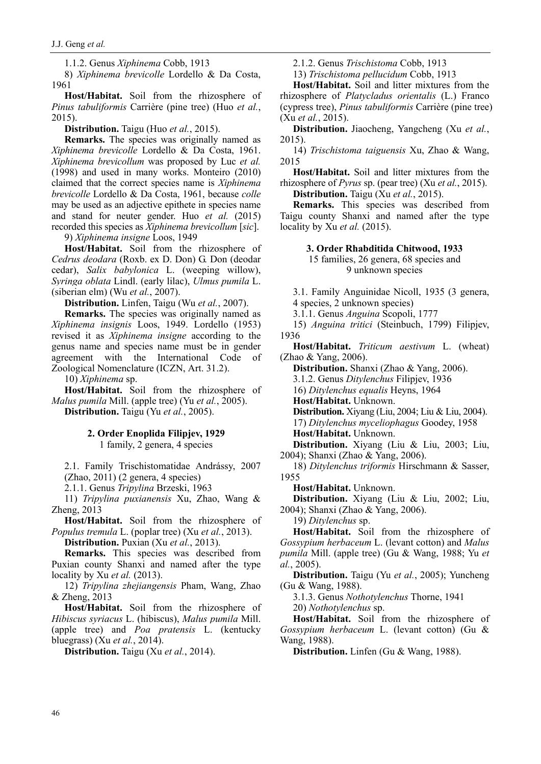1.1.2. Genus *Xiphinema* Cobb, 1913

8) *Xiphinema brevicolle* Lordello & Da Costa, 1961

**Host/Habitat.** Soil from the rhizosphere of *Pinus tabuliformis* Carrière (pine tree) (Huo *et al.*, 2015).

**Distribution.** Taigu (Huo *et al.*, 2015).

**Remarks.** The species was originally named as *Xiphinema brevicolle* Lordello & Da Costa, 1961. *Xiphinema brevicollum* was proposed by Luc *et al.* (1998) and used in many works. Monteiro (2010) claimed that the correct species name is *Xiphinema brevicolle* Lordello & Da Costa, 1961, because *colle* may be used as an adjective epithete in species name and stand for neuter gender. Huo *et al.* (2015) recorded this species as *Xiphinema brevicollum* [*sic*].

9) *Xiphinema insigne* Loos, 1949

**Host/Habitat.** Soil from the rhizosphere of *Cedrus deodara* (Roxb. ex D. Don) G. Don (deodar cedar), *Salix babylonica* L. (weeping willow), *Syringa oblata* Lindl. (early lilac), *Ulmus pumila* L. (siberian elm) (Wu *et al.*, 2007).

**Distribution.** Linfen, Taigu (Wu *et al.*, 2007).

**Remarks.** The species was originally named as *Xiphinema insignis* Loos, 1949. Lordello (1953) revised it as *Xiphinema insigne* according to the genus name and species name must be in gender agreement with the International Code of Zoological Nomenclature (ICZN, Art. 31.2).

10) *Xiphinema* sp.

**Host/Habitat.** Soil from the rhizosphere of *Malus pumila* Mill. (apple tree) (Yu *et al.*, 2005). **Distribution.** Taigu (Yu *et al.*, 2005).

### **2. Order Enoplida Filipjev, 1929** 1 family, 2 genera, 4 species

2.1. Family Trischistomatidae Andrássy, 2007 (Zhao, 2011) (2 genera, 4 species)

2.1.1. Genus *Tripylina* Brzeski, 1963

11) *Tripylina puxianensis* Xu, Zhao, Wang & Zheng, 2013

**Host/Habitat.** Soil from the rhizosphere of *Populus tremula* L. (poplar tree) (Xu *et al.*, 2013).

**Distribution.** Puxian (Xu *et al.*, 2013).

**Remarks.** This species was described from Puxian county Shanxi and named after the type locality by Xu *et al.* (2013).

12) *Tripylina zhejiangensis* Pham, Wang, Zhao & Zheng, 2013

**Host/Habitat.** Soil from the rhizosphere of *Hibiscus syriacus* L. (hibiscus), *Malus pumila* Mill. (apple tree) and *Poa pratensis* L. (kentucky bluegrass) (Xu *et al.*, 2014).

**Distribution.** Taigu (Xu *et al.*, 2014).

2.1.2. Genus *Trischistoma* Cobb, 1913

13) *Trischistoma pellucidum* Cobb, 1913

**Host/Habitat.** Soil and litter mixtures from the rhizosphere of *Platycladus orientalis* (L.) Franco (cypress tree), *Pinus tabuliformis* Carrière (pine tree) (Xu *et al.*, 2015).

**Distribution.** Jiaocheng, Yangcheng (Xu *et al.*, 2015).

14) *Trischistoma taiguensis* Xu, Zhao & Wang, 2015

**Host/Habitat.** Soil and litter mixtures from the rhizosphere of *Pyrus* sp. (pear tree) (Xu *et al.*, 2015).

**Distribution.** Taigu (Xu *et al.*, 2015).

**Remarks.** This species was described from Taigu county Shanxi and named after the type locality by Xu *et al.* (2015).

**3. Order Rhabditida Chitwood, 1933**

15 families, 26 genera, 68 species and 9 unknown species

3.1. Family Anguinidae Nicoll, 1935 (3 genera, 4 species, 2 unknown species)

3.1.1. Genus *Anguina* Scopoli, 1777

15) *Anguina tritici* (Steinbuch, 1799) Filipjev, 1936

**Host/Habitat.** *Triticum aestivum* L. (wheat) (Zhao & Yang, 2006).

**Distribution.** Shanxi (Zhao & Yang, 2006).

3.1.2. Genus *Ditylenchus* Filipjev, 1936

16) *Ditylenchus equalis* Heyns, 1964

**Host/Habitat.** Unknown.

**Distribution.** Xiyang (Liu, 2004; Liu & Liu, 2004). 17) *Ditylenchus myceliophagus* Goodey, 1958 **Host/Habitat.** Unknown.

**Distribution.** Xiyang (Liu & Liu, 2003; Liu, 2004); Shanxi (Zhao & Yang, 2006).

18) *Ditylenchus triformis* Hirschmann & Sasser, 1955

**Host/Habitat.** Unknown.

**Distribution.** Xiyang (Liu & Liu, 2002; Liu, 2004); Shanxi (Zhao & Yang, 2006).

19) *Ditylenchus* sp.

**Host/Habitat.** Soil from the rhizosphere of *Gossypium herbaceum* L. (levant cotton) and *Malus pumila* Mill. (apple tree) (Gu & Wang, 1988; Yu *et al.*, 2005).

**Distribution.** Taigu (Yu *et al.*, 2005); Yuncheng (Gu & Wang, 1988).

3.1.3. Genus *Nothotylenchus* Thorne, 1941

20) *Nothotylenchus* sp.

**Host/Habitat.** Soil from the rhizosphere of *Gossypium herbaceum* L. (levant cotton) (Gu & Wang, 1988).

**Distribution.** Linfen (Gu & Wang, 1988).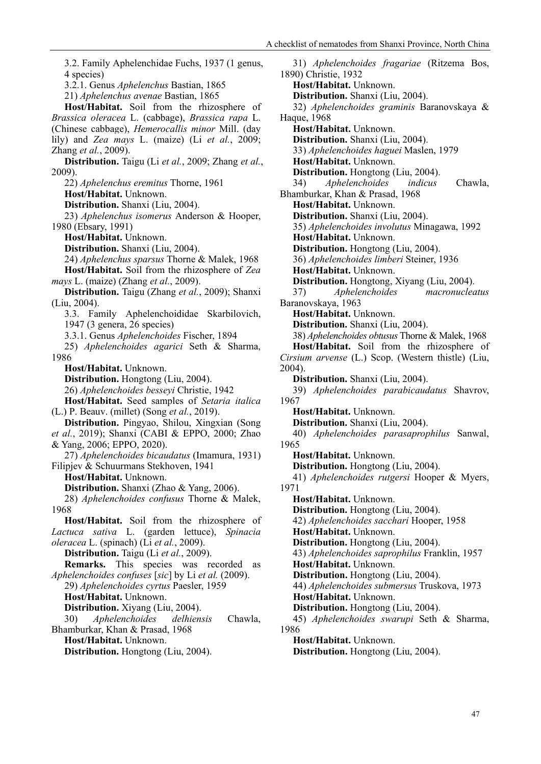3.2. Family Aphelenchidae Fuchs, 1937 (1 genus, 4 species) 3.2.1. Genus *Aphelenchus* Bastian, 1865 21) *Aphelenchus avenae* Bastian, 1865 **Host/Habitat.** Soil from the rhizosphere of *Brassica oleracea* L. (cabbage), *Brassica rapa* L. (Chinese cabbage), *Hemerocallis minor* Mill. (day lily) and *Zea mays* L. (maize) (Li *et al.*, 2009; Zhang *et al.*, 2009). **Distribution.** Taigu (Li *et al.*, 2009; Zhang *et al.*, 2009). 22) *Aphelenchus eremitus* Thorne, 1961 **Host/Habitat.** Unknown. **Distribution.** Shanxi (Liu, 2004). 23) *Aphelenchus isomerus* Anderson & Hooper, 1980 (Ebsary, 1991) **Host/Habitat.** Unknown. **Distribution.** Shanxi (Liu, 2004). 24) *Aphelenchus sparsus* Thorne & Malek, 1968 **Host/Habitat.** Soil from the rhizosphere of *Zea mays* L. (maize) (Zhang *et al.*, 2009). **Distribution.** Taigu (Zhang *et al.*, 2009); Shanxi (Liu, 2004). 3.3. Family Aphelenchoididae Skarbilovich, 1947 (3 genera, 26 species) 3.3.1. Genus *Aphelenchoides* Fischer, 1894 25) *Aphelenchoides agarici* Seth & Sharma, 1986 **Host/Habitat.** Unknown. **Distribution.** Hongtong (Liu, 2004). 26) *Aphelenchoides besseyi* Christie, 1942 **Host/Habitat.** Seed samples of *Setaria italica*  (L.) P. Beauv. (millet) (Song *et al.*, 2019). **Distribution.** Pingyao, Shilou, Xingxian (Song *et al.*, 2019); Shanxi (CABI & EPPO, 2000; Zhao & Yang, 2006; EPPO, 2020). 27) *Aphelenchoides bicaudatus* (Imamura, 1931) Filipjev & Schuurmans Stekhoven, 1941 **Host/Habitat.** Unknown. **Distribution.** Shanxi (Zhao & Yang, 2006). 28) *Aphelenchoides confusus* Thorne & Malek, 1968 **Host/Habitat.** Soil from the rhizosphere of *Lactuca sativa* L. (garden lettuce), *Spinacia oleracea* L. (spinach) (Li *et al.*, 2009). **Distribution.** Taigu (Li *et al.*, 2009). **Remarks.** This species was recorded as *Aphelenchoides confuses* [*sic*] by Li *et al.* (2009). 29) *Aphelenchoides cyrtus* Paesler, 1959 **Host/Habitat.** Unknown. **Distribution.** Xiyang (Liu, 2004). 30) *Aphelenchoides delhiensis* Chawla, Bhamburkar, Khan & Prasad, 1968 **Host/Habitat.** Unknown. **Distribution.** Hongtong (Liu, 2004).

31) *Aphelenchoides fragariae* (Ritzema Bos, 1890) Christie, 1932 **Host/Habitat.** Unknown. **Distribution.** Shanxi (Liu, 2004). 32) *Aphelenchoides graminis* Baranovskaya & Haque, 1968 **Host/Habitat.** Unknown. **Distribution.** Shanxi (Liu, 2004). 33) *Aphelenchoides haguei* Maslen, 1979 **Host/Habitat.** Unknown. **Distribution.** Hongtong (Liu, 2004). 34) *Aphelenchoides indicus* Chawla, Bhamburkar, Khan & Prasad, 1968 **Host/Habitat.** Unknown. **Distribution.** Shanxi (Liu, 2004). 35) *Aphelenchoides involutus* Minagawa, 1992 **Host/Habitat.** Unknown. **Distribution.** Hongtong (Liu, 2004). 36) *Aphelenchoides limberi* Steiner, 1936 **Host/Habitat.** Unknown. **Distribution.** Hongtong, Xiyang (Liu, 2004). 37) *Aphelenchoides macronucleatus* Baranovskaya, 1963 **Host/Habitat.** Unknown. **Distribution.** Shanxi (Liu, 2004). 38) *Aphelenchoides obtusus* Thorne & Malek, 1968 **Host/Habitat.** Soil from the rhizosphere of *Cirsium arvense* (L.) Scop. (Western thistle) (Liu, 2004). **Distribution.** Shanxi (Liu, 2004). 39) *Aphelenchoides parabicaudatus* Shavrov, 1967 **Host/Habitat.** Unknown. **Distribution.** Shanxi (Liu, 2004). 40) *Aphelenchoides parasaprophilus* Sanwal, 1965 **Host/Habitat.** Unknown. **Distribution.** Hongtong (Liu, 2004). 41) *Aphelenchoides rutgersi* Hooper & Myers, 1971 **Host/Habitat.** Unknown. **Distribution.** Hongtong (Liu, 2004). 42) *Aphelenchoides sacchari* Hooper, 1958 **Host/Habitat.** Unknown. **Distribution.** Hongtong (Liu, 2004). 43) *Aphelenchoides saprophilus* Franklin, 1957 **Host/Habitat.** Unknown. **Distribution.** Hongtong (Liu, 2004). 44) *Aphelenchoides submersus* Truskova, 1973 **Host/Habitat.** Unknown. **Distribution.** Hongtong (Liu, 2004). 45) *Aphelenchoides swarupi* Seth & Sharma, 1986 **Host/Habitat.** Unknown. **Distribution.** Hongtong (Liu, 2004).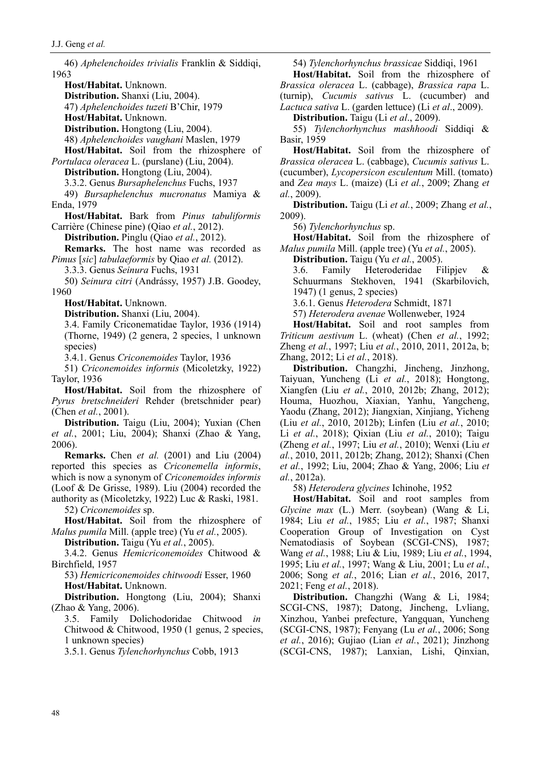46) *Aphelenchoides trivialis* Franklin & Siddiqi, 1963 **Host/Habitat.** Unknown. **Distribution.** Shanxi (Liu, 2004). 47) *Aphelenchoides tuzeti* B'Chir, 1979 **Host/Habitat.** Unknown. **Distribution.** Hongtong (Liu, 2004). 48) *Aphelenchoides vaughani* Maslen, 1979 **Host/Habitat.** Soil from the rhizosphere of *Portulaca oleracea* L. (purslane) (Liu, 2004). **Distribution.** Hongtong (Liu, 2004). 3.3.2. Genus *Bursaphelenchus* Fuchs, 1937 49) *Bursaphelenchus mucronatus* Mamiya & Enda, 1979 **Host/Habitat.** Bark from *Pinus tabuliformis*  Carrière (Chinese pine) (Qiao *et al.*, 2012). **Distribution.** Pinglu (Qiao *et al.*, 2012). **Remarks.** The host name was recorded as *Pimus* [*sic*] *tabulaeformis* by Qiao *et al.* (2012). 3.3.3. Genus *Seinura* Fuchs, 1931 50) *Seinura citri* (Andrássy, 1957) J.B. Goodey, 1960 **Host/Habitat.** Unknown. **Distribution.** Shanxi (Liu, 2004). 3.4. Family Criconematidae Taylor, 1936 (1914) (Thorne, 1949) (2 genera, 2 species, 1 unknown species) 3.4.1. Genus *Criconemoides* Taylor, 1936 51) *Criconemoides informis* (Micoletzky, 1922) Taylor, 1936 **Host/Habitat.** Soil from the rhizosphere of *Pyrus bretschneideri* Rehder (bretschnider pear) (Chen *et al.*, 2001). **Distribution.** Taigu (Liu, 2004); Yuxian (Chen *et al.*, 2001; Liu, 2004); Shanxi (Zhao & Yang, 2006). **Remarks.** Chen *et al.* (2001) and Liu (2004) reported this species as *Criconemella informis*, which is now a synonym of *Criconemoides informis* (Loof & De Grisse, 1989). Liu (2004) recorded the authority as (Micoletzky, 1922) Luc & Raski, 1981. 52) *Criconemoides* sp. **Host/Habitat.** Soil from the rhizosphere of *Malus pumila* Mill. (apple tree) (Yu *et al.*, 2005). **Distribution.** Taigu (Yu *et al.*, 2005). 3.4.2. Genus *Hemicriconemoides* Chitwood & Birchfield, 1957 53) *Hemicriconemoides chitwoodi* Esser, 1960 **Host/Habitat.** Unknown. **Distribution.** Hongtong (Liu, 2004); Shanxi (Zhao & Yang, 2006). 3.5. Family Dolichodoridae Chitwood *in* Chitwood & Chitwood, 1950 (1 genus, 2 species, 1 unknown species) 3.5.1. Genus *Tylenchorhynchus* Cobb, 1913

54) *Tylenchorhynchus brassicae* Siddiqi, 1961 **Host/Habitat.** Soil from the rhizosphere of

*Brassica oleracea* L. (cabbage), *Brassica rapa* L. (turnip), *Cucumis sativus* L. (cucumber) and *Lactuca sativa* L. (garden lettuce) (Li *et al*., 2009).

**Distribution.** Taigu (Li *et al*., 2009).

55) *Tylenchorhynchus mashhoodi* Siddiqi & Basir, 1959

**Host/Habitat.** Soil from the rhizosphere of *Brassica oleracea* L. (cabbage), *Cucumis sativus* L. (cucumber), *Lycopersicon esculentum* Mill. (tomato) and *Zea mays* L. (maize) (Li *et al.*, 2009; Zhang *et al.*, 2009).

**Distribution.** Taigu (Li *et al.*, 2009; Zhang *et al.*, 2009).

56) *Tylenchorhynchus* sp.

**Host/Habitat.** Soil from the rhizosphere of *Malus pumila* Mill. (apple tree) (Yu *et al.*, 2005).

**Distribution.** Taigu (Yu *et al.*, 2005).

3.6. Family Heteroderidae Filipjev & Schuurmans Stekhoven, 1941 (Skarbilovich, 1947) (1 genus, 2 species)

3.6.1. Genus *Heterodera* Schmidt, 1871

57) *Heterodera avenae* Wollenweber, 1924

**Host/Habitat.** Soil and root samples from *Triticum aestivum* L. (wheat) (Chen *et al.*, 1992; Zheng *et al.*, 1997; Liu *et al.*, 2010, 2011, 2012a, b; Zhang, 2012; Li *et al.*, 2018).

**Distribution.** Changzhi, Jincheng, Jinzhong, Taiyuan, Yuncheng (Li *et al.*, 2018); Hongtong, Xiangfen (Liu *et al.*, 2010, 2012b; Zhang, 2012); Houma, Huozhou, Xiaxian, Yanhu, Yangcheng, Yaodu (Zhang, 2012); Jiangxian, Xinjiang, Yicheng (Liu *et al.*, 2010, 2012b); Linfen (Liu *et al.*, 2010; Li *et al.*, 2018); Qixian (Liu *et al.*, 2010); Taigu (Zheng *et al.*, 1997; Liu *et al.*, 2010); Wenxi (Liu *et al.*, 2010, 2011, 2012b; Zhang, 2012); Shanxi (Chen *et al.*, 1992; Liu, 2004; Zhao & Yang, 2006; Liu *et al.*, 2012a).

58) *Heterodera glycines* Ichinohe, 1952

**Host/Habitat.** Soil and root samples from *Glycine max* (L.) Merr. (soybean) (Wang & Li, 1984; Liu *et al.*, 1985; Liu *et al.*, 1987; Shanxi Cooperation Group of Investigation on Cyst Nematodiasis of Soybean (SCGI-CNS), 1987; Wang *et al.*, 1988; Liu & Liu, 1989; Liu *et al.*, 1994, 1995; Liu *et al.*, 1997; Wang & Liu, 2001; Lu *et al.*, 2006; Song *et al.*, 2016; Lian *et al.*, 2016, 2017, 2021; Feng *et al.*, 2018).

**Distribution.** Changzhi (Wang & Li, 1984; SCGI-CNS, 1987); Datong, Jincheng, Lvliang, Xinzhou, Yanbei prefecture, Yangquan, Yuncheng (SCGI-CNS, 1987); Fenyang (Lu *et al.*, 2006; Song *et al.*, 2016); Gujiao (Lian *et al.*, 2021); Jinzhong (SCGI-CNS, 1987); Lanxian, Lishi, Qinxian,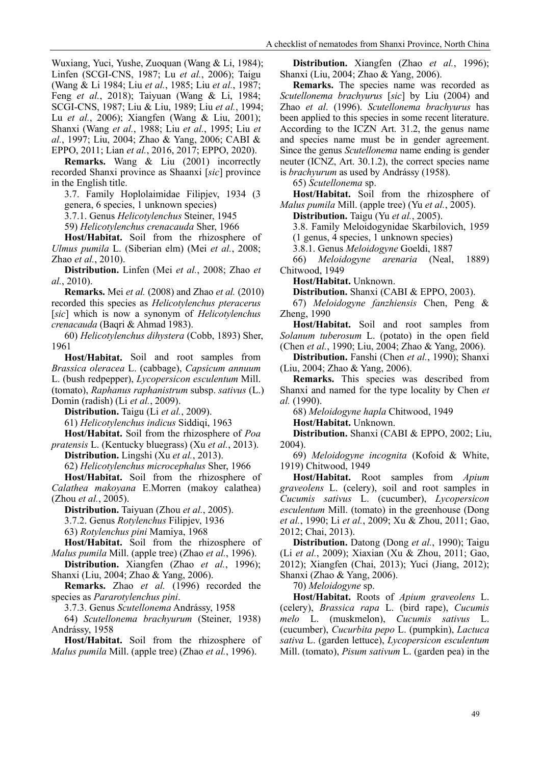Wuxiang, Yuci, Yushe, Zuoquan (Wang & Li, 1984); Linfen (SCGI-CNS, 1987; Lu *et al.*, 2006); Taigu (Wang & Li 1984; Liu *et al.*, 1985; Liu *et al.*, 1987; Feng *et al.*, 2018); Taiyuan (Wang & Li, 1984; SCGI-CNS, 1987; Liu & Liu, 1989; Liu *et al.*, 1994; Lu *et al.*, 2006); Xiangfen (Wang & Liu, 2001); Shanxi (Wang *et al.*, 1988; Liu *et al.*, 1995; Liu *et al.*, 1997; Liu, 2004; Zhao & Yang, 2006; CABI & EPPO, 2011; Lian *et al.*, 2016, 2017; EPPO, 2020).

**Remarks.** Wang & Liu (2001) incorrectly recorded Shanxi province as Shaanxi [*sic*] province in the English title.

3.7. Family Hoplolaimidae Filipjev, 1934 (3 genera, 6 species, 1 unknown species)

3.7.1. Genus *Helicotylenchus* Steiner, 1945

59) *Helicotylenchus crenacauda* Sher, 1966

**Host/Habitat.** Soil from the rhizosphere of *Ulmus pumila* L. (Siberian elm) (Mei *et al.*, 2008; Zhao *et al.*, 2010).

**Distribution.** Linfen (Mei *et al.*, 2008; Zhao *et al.*, 2010).

**Remarks.** Mei *et al.* (2008) and Zhao *et al.* (2010) recorded this species as *Helicotylenchus pteracerus* [*sic*] which is now a synonym of *Helicotylenchus crenacauda* (Baqri & Ahmad 1983).

60) *Helicotylenchus dihystera* [\(Cobb,](http://plpnemweb.ucdavis.edu/nemaplex/General/PioneerAC.htm#N.A.%20Cobb) 1893) [Sher,](http://plpnemweb.ucdavis.edu/nemaplex/General/PioneerSU.htm#S.A.%20Sher) 1961

**Host/Habitat.** Soil and root samples from *Brassica oleracea* L. (cabbage), *Capsicum annuum* L. (bush redpepper), *Lycopersicon esculentum* Mill. (tomato), *Raphanus raphanistrum* subsp. *sativus* (L.) Domin (radish) (Li *et al.*, 2009).

**Distribution.** Taigu (Li *et al.*, 2009).

61) *Helicotylenchus indicus* Siddiqi, 1963

**Host/Habitat.** Soil from the rhizosphere of *Poa pratensis* L. (Kentucky bluegrass) (Xu *et al.*, 2013).

**Distribution.** Lingshi (Xu *et al.*, 2013).

62) *Helicotylenchus microcephalus* Sher, 1966

**Host/Habitat.** Soil from the rhizosphere of *Calathea makoyana* E.Morren (makoy calathea) (Zhou *et al.*, 2005).

**Distribution.** Taiyuan (Zhou *et al.*, 2005).

3.7.2. Genus *Rotylenchus* Filipjev, 1936

63) *Rotylenchus pini* Mamiya, 1968

**Host/Habitat.** Soil from the rhizosphere of *Malus pumila* Mill. (apple tree) (Zhao *et al.*, 1996).

**Distribution.** Xiangfen (Zhao *et al.*, 1996); Shanxi (Liu, 2004; Zhao & Yang, 2006).

**Remarks.** Zhao *et al.* (1996) recorded the species as *Pararotylenchus pini*.

3.7.3. Genus *Scutellonema* Andrássy, 1958

64) *Scutellonema brachyurum* (Steiner, 1938) Andrássy, 1958

**Host/Habitat.** Soil from the rhizosphere of *Malus pumila* Mill. (apple tree) (Zhao *et al.*, 1996).

**Distribution.** Xiangfen (Zhao *et al.*, 1996); Shanxi (Liu, 2004; Zhao & Yang, 2006).

**Remarks.** The species name was recorded as *Scutellonema brachyurus* [*sic*] by Liu (2004) and Zhao *et al*. (1996). *Scutellonema brachyurus* has been applied to this species in some recent literature. According to the ICZN Art. 31.2, the genus name and species name must be in gender agreement. Since the genus *Scutellonema* name ending is gender neuter (ICNZ, Art. 30.1.2), the correct species name is *brachyurum* as used by Andrássy (1958).

65) *Scutellonema* sp.

**Host/Habitat.** Soil from the rhizosphere of *Malus pumila* Mill. (apple tree) (Yu *et al.*, 2005).

**Distribution.** Taigu (Yu *et al.*, 2005).

3.8. Family Meloidogynidae Skarbilovich, 1959

(1 genus, 4 species, 1 unknown species)

3.8.1. Genus *Meloidogyne* Goeldi, 1887

66) *Meloidogyne arenaria* (Neal, 1889) Chitwood, 1949

**Host/Habitat.** Unknown.

**Distribution.** Shanxi (CABI & EPPO, 2003).

67) *Meloidogyne fanzhiensis* Chen, Peng & Zheng, 1990

**Host/Habitat.** Soil and root samples from *Solanum tuberosum* L. (potato) in the open field (Chen *et al.*, 1990; Liu, 2004; Zhao & Yang, 2006).

**Distribution.** Fanshi (Chen *et al.*, 1990); Shanxi (Liu, 2004; Zhao & Yang, 2006).

**Remarks.** This species was described from Shanxi and named for the type locality by Chen *et al.* (1990).

68) *Meloidogyne hapla* Chitwood, 1949

**Host/Habitat.** Unknown.

**Distribution.** Shanxi (CABI & EPPO, 2002; Liu, 2004).

69) *Meloidogyne incognita* (Kofoid & White, 1919) Chitwood, 1949

**Host/Habitat.** Root samples from *Apium graveolens* L. (celery), soil and root samples in *Cucumis sativus* L. (cucumber), *Lycopersicon esculentum* Mill. (tomato) in the greenhouse (Dong *et al.*, 1990; Li *et al.*, 2009; Xu & Zhou, 2011; Gao, 2012; Chai, 2013).

**Distribution.** Datong (Dong *et al.*, 1990); Taigu (Li *et al.*, 2009); Xiaxian (Xu & Zhou, 2011; Gao, 2012); Xiangfen (Chai, 2013); Yuci (Jiang, 2012); Shanxi (Zhao & Yang, 2006).

70) *Meloidogyne* sp.

**Host/Habitat.** Roots of *Apium graveolens* L. (celery), *Brassica rapa* L. (bird rape), *Cucumis melo* L. (muskmelon), *Cucumis sativus* L. (cucumber), *Cucurbita pepo* L. (pumpkin), *Lactuca sativa* L. (garden lettuce), *Lycopersicon esculentum* Mill. (tomato), *Pisum sativum* L. (garden pea) in the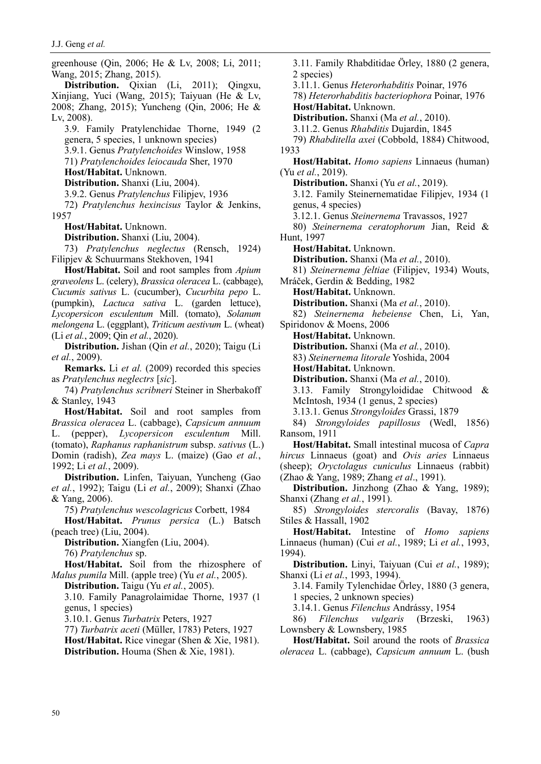J.J. Geng *et al.*

greenhouse (Qin, 2006; He & Lv, 2008; Li, 2011; Wang, 2015; Zhang, 2015).

**Distribution.** Qixian (Li, 2011); Qingxu, Xinjiang, Yuci (Wang, 2015); Taiyuan (He & Lv, 2008; Zhang, 2015); Yuncheng (Qin, 2006; He & Lv, 2008).

3.9. Family Pratylenchidae Thorne, 1949 (2 genera, 5 species, 1 unknown species) 3.9.1. Genus *Pratylenchoides* Winslow, 1958 71) *Pratylenchoides leiocauda* Sher, 1970

**Host/Habitat.** Unknown.

**Distribution.** Shanxi (Liu, 2004).

3.9.2. Genus *Pratylenchus* Filipjev, 1936

72) *Pratylenchus hexincisus* Taylor & Jenkins, 1957

**Host/Habitat.** Unknown.

**Distribution.** Shanxi (Liu, 2004).

73) *Pratylenchus neglectus* (Rensch, 1924) Filipjev & Schuurmans Stekhoven, 1941

**Host/Habitat.** Soil and root samples from *Apium graveolens* L. (celery), *Brassica oleracea* L. (cabbage), *Cucumis sativus* L. (cucumber), *Cucurbita pepo* L. (pumpkin), *Lactuca sativa* L. (garden lettuce), *Lycopersicon esculentum* Mill. (tomato), *Solanum melongena* L. (eggplant), *Triticum aestivum* L. (wheat) (Li *et al.*, 2009; Qin *et al.*, 2020).

**Distribution.** Jishan (Qin *et al.*, 2020); Taigu (Li *et al.*, 2009).

**Remarks.** Li *et al.* (2009) recorded this species as *Pratylenchus neglectrs* [*sic*].

74) *Pratylenchus scribneri* Steiner in Sherbakoff & Stanley, 1943

**Host/Habitat.** Soil and root samples from *Brassica oleracea* L. (cabbage), *Capsicum annuum* L. (pepper), *Lycopersicon esculentum* Mill. (tomato), *Raphanus raphanistrum* subsp. *sativus* (L.) Domin (radish), *Zea mays* L. (maize) (Gao *et al.*, 1992; Li *et al.*, 2009).

**Distribution.** Linfen, Taiyuan, Yuncheng (Gao *et al.*, 1992); Taigu (Li *et al.*, 2009); Shanxi (Zhao & Yang, 2006).

75) *Pratylenchus wescolagricus* Corbett, 1984

**Host/Habitat.** *Prunus persica* (L.) Batsch (peach tree) (Liu, 2004).

**Distribution.** Xiangfen (Liu, 2004). 76) *Pratylenchus* sp.

**Host/Habitat.** Soil from the rhizosphere of *Malus pumila* Mill. (apple tree) (Yu *et al.*, 2005).

**Distribution.** Taigu (Yu *et al.*, 2005).

3.10. Family Panagrolaimidae Thorne, 1937 (1 genus, 1 species)

3.10.1. Genus *Turbatrix* Peters, 1927

77) *Turbatrix aceti* (Müller, 1783) Peters, 1927

**Host/Habitat.** Rice vinegar (Shen & Xie, 1981). **Distribution.** Houma (Shen & Xie, 1981).

3.11. Family Rhabditidae Örley, 1880 (2 genera, 2 species) 3.11.1. Genus *Heterorhabditis* Poinar, 1976 78) *Heterorhabditis bacteriophora* Poinar, 1976 **Host/Habitat.** Unknown. **Distribution.** Shanxi (Ma *et al.*, 2010). 3.11.2. Genus *Rhabditis* Dujardin, 1845 79) *Rhabditella axei* (Cobbold, 1884) Chitwood, 1933 **Host/Habitat.** *Homo sapiens* Linnaeus (human) (Yu *et al.*, 2019). **Distribution.** Shanxi (Yu *et al.*, 2019). 3.12. Family Steinernematidae Filipjev, 1934 (1 genus, 4 species) 3.12.1. Genus *Steinernema* Travassos, 1927 80) *Steinernema ceratophorum* Jian, Reid & Hunt, 1997 **Host/Habitat.** Unknown. **Distribution.** Shanxi (Ma *et al.*, 2010). 81) *Steinernema feltiae* (Filipjev, 1934) Wouts, Mráček, Gerdin & Bedding, 1982 **Host/Habitat.** Unknown. **Distribution.** Shanxi (Ma *et al.*, 2010). 82) *Steinernema hebeiense* Chen, Li, Yan, Spiridonov & Moens, 2006 **Host/Habitat.** Unknown. **Distribution.** Shanxi (Ma *et al.*, 2010). 83) *Steinernema litorale* Yoshida, 2004 **Host/Habitat.** Unknown. **Distribution.** Shanxi (Ma *et al.*, 2010). 3.13. Family Strongyloididae Chitwood & McIntosh, 1934 (1 genus, 2 species) 3.13.1. Genus *Strongyloides* Grassi, 1879 84) *Strongyloides papillosus* (Wedl, 1856) Ransom, 1911 **Host/Habitat.** Small intestinal mucosa of *Capra hircus* Linnaeus (goat) and *Ovis aries* Linnaeus (sheep); *Oryctolagus cuniculus* Linnaeus (rabbit) (Zhao & Yang, 1989; Zhang *et al*., 1991). **Distribution.** Jinzhong (Zhao & Yang, 1989); Shanxi (Zhang *et al.*, 1991). 85) *Strongyloides stercoralis* (Bavay, 1876) Stiles & Hassall, 1902 **Host/Habitat.** Intestine of *Homo sapiens* Linnaeus (human) (Cui *et al.*, 1989; Li *et al.*, 1993, 1994). **Distribution.** Linyi, Taiyuan (Cui *et al.*, 1989); Shanxi (Li *et al.*, 1993, 1994).

3.14. Family Tylenchidae Örley, 1880 (3 genera, 1 species, 2 unknown species)

3.14.1. Genus *Filenchus* Andrássy, 1954

86) *Filenchus vulgaris* (Brzeski, 1963) Lownsbery & Lownsbery, 1985

**Host/Habitat.** Soil around the roots of *Brassica oleracea* L. (cabbage), *Capsicum annuum* L. (bush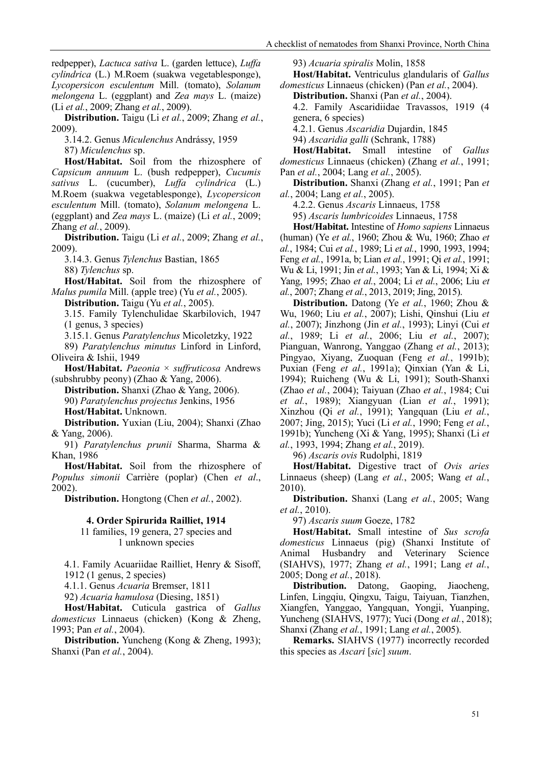redpepper), *Lactuca sativa* L. (garden lettuce), *Luffa cylindrica* (L.) M.Roem (suakwa vegetablesponge), *Lycopersicon esculentum* Mill. (tomato), *Solanum melongena* L. (eggplant) and *Zea mays* L. (maize) (Li *et al.*, 2009; Zhang *et al.*, 2009).

**Distribution.** Taigu (Li *et al.*, 2009; Zhang *et al.*, 2009).

3.14.2. Genus *Miculenchus* Andrássy, 1959

87) *Miculenchus* sp.

**Host/Habitat.** Soil from the rhizosphere of *Capsicum annuum* L. (bush redpepper), *Cucumis sativus* L. (cucumber), *Luffa cylindrica* (L.) M.Roem (suakwa vegetablesponge), *Lycopersicon esculentum* Mill. (tomato), *Solanum melongena* L. (eggplant) and *Zea mays* L. (maize) (Li *et al.*, 2009; Zhang *et al.*, 2009).

**Distribution.** Taigu (Li *et al.*, 2009; Zhang *et al.*, 2009).

3.14.3. Genus *Tylenchus* Bastian, 1865 88) *Tylenchus* sp.

**Host/Habitat.** Soil from the rhizosphere of *Malus pumila* Mill. (apple tree) (Yu *et al.*, 2005).

**Distribution.** Taigu (Yu *et al.*, 2005).

3.15. Family Tylenchulidae Skarbilovich, 1947 (1 genus, 3 species)

3.15.1. Genus *Paratylenchus* Micoletzky, 1922

89) *Paratylenchus minutus* Linford in Linford, Oliveira & Ishii, 1949

**Host/Habitat.** *Paeonia* × *suffruticosa* Andrews (subshrubby peony) (Zhao & Yang, 2006).

**Distribution.** Shanxi (Zhao & Yang, 2006). 90) *Paratylenchus projectus* Jenkins, 1956 **Host/Habitat.** Unknown.

**Distribution.** Yuxian (Liu, 2004); Shanxi (Zhao & Yang, 2006).

91) *Paratylenchus prunii* Sharma, Sharma & Khan, 1986

**Host/Habitat.** Soil from the rhizosphere of *Populus simonii* Carrière (poplar) (Chen *et al*., 2002).

**Distribution.** Hongtong (Chen *et al.*, 2002).

#### **4. Order Spirurida Railliet, 1914**

11 families, 19 genera, 27 species and 1 unknown species

4.1. Family Acuariidae Railliet, Henry & Sisoff, 1912 (1 genus, 2 species)

4.1.1. Genus *Acuaria* Bremser, 1811

92) *Acuaria hamulosa* (Diesing, 1851)

**Host/Habitat.** Cuticula gastrica of *Gallus domesticus* Linnaeus (chicken) (Kong & Zheng, 1993; Pan *et al.*, 2004).

**Distribution.** Yuncheng (Kong & Zheng, 1993); Shanxi (Pan *et al.*, 2004).

93) *Acuaria spiralis* Molin, 1858

**Host/Habitat.** Ventriculus glandularis of *Gallus domesticus* Linnaeus (chicken) (Pan *et al.*, 2004).

**Distribution.** Shanxi (Pan *et al.*, 2004).

4.2. Family Ascaridiidae Travassos, 1919 (4 genera, 6 species)

4.2.1. Genus *Ascaridia* Dujardin, 1845

94) *Ascaridia galli* (Schrank, 1788)

**Host/Habitat.** Small intestine of *Gallus domesticus* Linnaeus (chicken) (Zhang *et al.*, 1991; Pan *et al.*, 2004; Lang *et al.*, 2005).

**Distribution.** Shanxi (Zhang *et al.*, 1991; Pan *et al.*, 2004; Lang *et al.*, 2005).

4.2.2. Genus *Ascaris* Linnaeus, 1758

95) *Ascaris lumbricoides* Linnaeus, 1758

**Host/Habitat.** Intestine of *Homo sapiens* Linnaeus (human) (Ye *et al.*, 1960; Zhou & Wu, 1960; Zhao *et al.*, 1984; Cui *et al.*, 1989; Li *et al.*, 1990, 1993, 1994; Feng *et al.*, 1991a, b; Lian *et al.*, 1991; Qi *et al.*, 1991; Wu & Li, 1991; Jin *et al.*, 1993; Yan & Li, 1994; Xi & Yang, 1995; Zhao *et al.*, 2004; Li *et al.*, 2006; Liu *et al.*, 2007; Zhang *et al.*, 2013, 2019; Jing, 2015).

**Distribution.** Datong (Ye *et al.*, 1960; Zhou & Wu, 1960; Liu *et al.*, 2007); Lishi, Qinshui (Liu *et al.*, 2007); Jinzhong (Jin *et al.*, 1993); Linyi (Cui *et al.*, 1989; Li *et al.*, 2006; Liu *et al.*, 2007); Pianguan, Wanrong, Yanggao (Zhang *et al.*, 2013); Pingyao, Xiyang, Zuoquan (Feng *et al.*, 1991b); Puxian (Feng *et al.*, 1991a); Qinxian (Yan & Li, 1994); Ruicheng (Wu & Li, 1991); South-Shanxi (Zhao *et al.*, 2004); Taiyuan (Zhao *et al.*, 1984; Cui *et al.*, 1989); Xiangyuan (Lian *et al.*, 1991); Xinzhou (Qi *et al.*, 1991); Yangquan (Liu *et al.*, 2007; Jing, 2015); Yuci (Li *et al.*, 1990; Feng *et al.*, 1991b); Yuncheng (Xi & Yang, 1995); Shanxi (Li *et al.*, 1993, 1994; Zhang *et al.*, 2019).

96) *Ascaris ovis* Rudolphi, 1819

**Host/Habitat.** Digestive tract of *Ovis aries* Linnaeus (sheep) (Lang *et al.*, 2005; Wang *et al.*, 2010).

**Distribution.** Shanxi (Lang *et al.*, 2005; Wang *et al.*, 2010).

97) *Ascaris suum* Goeze, 1782

**Host/Habitat.** Small intestine of *Sus scrofa domesticus* Linnaeus (pig) (Shanxi Institute of Animal Husbandry and Veterinary Science (SIAHVS), 1977; Zhang *et al.*, 1991; Lang *et al.*, 2005; Dong *et al.*, 2018).

**Distribution.** Datong, Gaoping, Jiaocheng, Linfen, Lingqiu, Qingxu, Taigu, Taiyuan, Tianzhen, Xiangfen, Yanggao, Yangquan, Yongji, Yuanping, Yuncheng (SIAHVS, 1977); Yuci (Dong *et al.*, 2018); Shanxi (Zhang *et al.*, 1991; Lang *et al.*, 2005).

**Remarks.** SIAHVS (1977) incorrectly recorded this species as *Ascari* [*sic*] *suum*.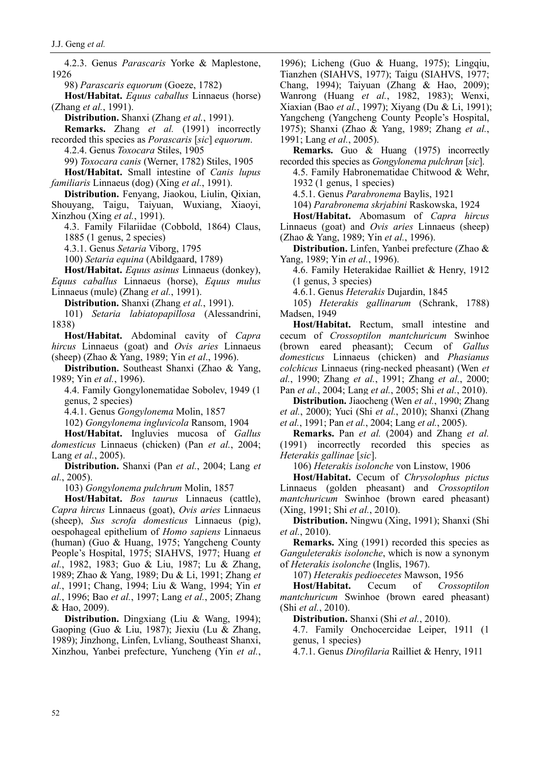4.2.3. Genus *Parascaris* Yorke & Maplestone, 1926

98) *Parascaris equorum* (Goeze, 1782)

**Host/Habitat.** *Equus caballus* Linnaeus (horse) (Zhang *et al.*, 1991).

**Distribution.** Shanxi (Zhang *et al.*, 1991).

**Remarks.** Zhang *et al.* (1991) incorrectly

recorded this species as *Porascaris* [*sic*] *equorum*. 4.2.4. Genus *Toxocara* Stiles, 1905

99) *Toxocara canis* (Werner, 1782) Stiles, 1905

**Host/Habitat.** Small intestine of *Canis lupus familiaris* Linnaeus (dog) (Xing *et al.*, 1991).

**Distribution.** Fenyang, Jiaokou, Liulin, Qixian, Shouyang, Taigu, Taiyuan, Wuxiang, Xiaoyi, Xinzhou (Xing *et al.*, 1991).

4.3. Family Filariidae (Cobbold, 1864) Claus, 1885 (1 genus, 2 species)

4.3.1. Genus *Setaria* Viborg, 1795

100) *Setaria equina* (Abildgaard, 1789)

**Host/Habitat.** *Equus asinus* Linnaeus (donkey), *Equus caballus* Linnaeus (horse), *Equus mulus* Linnaeus (mule) (Zhang *et al.*, 1991).

**Distribution.** Shanxi (Zhang *et al.*, 1991).

101) *Setaria labiatopapillosa* (Alessandrini, 1838)

**Host/Habitat.** Abdominal cavity of *Capra hircus* Linnaeus (goat) and *Ovis aries* Linnaeus (sheep) (Zhao & Yang, 1989; Yin *et al*., 1996).

**Distribution.** Southeast Shanxi (Zhao & Yang, 1989; Yin *et al.*, 1996).

4.4. Family Gongylonematidae Sobolev, 1949 (1 genus, 2 species)

4.4.1. Genus *Gongylonema* Molin, 1857

102) *Gongylonema ingluvicola* Ransom, 1904

**Host/Habitat.** Ingluvies mucosa of *Gallus domesticus* Linnaeus (chicken) (Pan *et al.*, 2004; Lang *et al.*, 2005).

**Distribution.** Shanxi (Pan *et al.*, 2004; Lang *et al.*, 2005).

103) *Gongylonema pulchrum* Molin, 1857

**Host/Habitat.** *Bos taurus* Linnaeus (cattle), *Capra hircus* Linnaeus (goat), *Ovis aries* Linnaeus (sheep), *Sus scrofa domesticus* Linnaeus (pig), oespohageal epithelium of *Homo sapiens* Linnaeus (human) (Guo & Huang, 1975; Yangcheng County People's Hospital, 1975; SIAHVS, 1977; Huang *et al.*, 1982, 1983; Guo & Liu, 1987; Lu & Zhang, 1989; Zhao & Yang, 1989; Du & Li, 1991; Zhang *et al.*, 1991; Chang, 1994; Liu & Wang, 1994; Yin *et al.*, 1996; Bao *et al.*, 1997; Lang *et al.*, 2005; Zhang & Hao, 2009).

**Distribution.** Dingxiang (Liu & Wang, 1994); Gaoping (Guo & Liu, 1987); Jiexiu (Lu & Zhang, 1989); Jinzhong, Linfen, Lvliang, Southeast Shanxi, Xinzhou, Yanbei prefecture, Yuncheng (Yin *et al.*, 1996); Licheng (Guo & Huang, 1975); Lingqiu, Tianzhen (SIAHVS, 1977); Taigu (SIAHVS, 1977; Chang, 1994); Taiyuan (Zhang & Hao, 2009); Wanrong (Huang *et al.*, 1982, 1983); Wenxi, Xiaxian (Bao *et al.*, 1997); Xiyang (Du & Li, 1991); Yangcheng (Yangcheng County People's Hospital, 1975); Shanxi (Zhao & Yang, 1989; Zhang *et al.*, 1991; Lang *et al.*, 2005).

**Remarks.** Guo & Huang (1975) incorrectly recorded this species as *Gongylonema pulchran* [*sic*].

4.5. Family Habronematidae Chitwood & Wehr, 1932 (1 genus, 1 species)

4.5.1. Genus *Parabronema* Baylis, 1921

104) *Parabronema skrjabini* Raskowska, 1924

**Host/Habitat.** Abomasum of *Capra hircus* Linnaeus (goat) and *Ovis aries* Linnaeus (sheep) (Zhao & Yang, 1989; Yin *et al.*, 1996).

**Distribution.** Linfen, Yanbei prefecture (Zhao & Yang, 1989; Yin *et al.*, 1996).

4.6. Family Heterakidae Railliet & Henry, 1912 (1 genus, 3 species)

4.6.1. Genus *Heterakis* Dujardin, 1845

105) *Heterakis gallinarum* (Schrank, 1788) Madsen, 1949

**Host/Habitat.** Rectum, small intestine and cecum of *Crossoptilon mantchuricum* Swinhoe (brown eared pheasant); Cecum of *Gallus domesticus* Linnaeus (chicken) and *Phasianus colchicus* Linnaeus (ring-necked pheasant) (Wen *et al.*, 1990; Zhang *et al.*, 1991; Zhang *et al.*, 2000; Pan *et al.*, 2004; Lang *et al.*, 2005; Shi *et al.*, 2010).

**Distribution.** Jiaocheng (Wen *et al.*, 1990; Zhang *et al.*, 2000); Yuci (Shi *et al.*, 2010); Shanxi (Zhang *et al.*, 1991; Pan *et al.*, 2004; Lang *et al.*, 2005).

**Remarks.** Pan *et al.* (2004) and Zhang *et al.* (1991) incorrectly recorded this species as *Heterakis gallinae* [*sic*].

106) *Heterakis isolonche* von Linstow, 1906

**Host/Habitat.** Cecum of *Chrysolophus pictus*  Linnaeus (golden pheasant) and *Crossoptilon mantchuricum* Swinhoe (brown eared pheasant) (Xing, 1991; Shi *et al.*, 2010).

**Distribution.** Ningwu (Xing, 1991); Shanxi (Shi *et al.*, 2010).

**Remarks.** Xing (1991) recorded this species as *Ganguleterakis isolonche*, which is now a synonym of *Heterakis isolonche* (Inglis, 1967).

107) *Heterakis pedioecetes* Mawson, 1956

**Host/Habitat.** Cecum of *Crossoptilon mantchuricum* Swinhoe (brown eared pheasant) (Shi *et al.*, 2010).

**Distribution.** Shanxi (Shi *et al.*, 2010).

4.7. Family Onchocercidae Leiper, 1911 (1 genus, 1 species)

4.7.1. Genus *Dirofilaria* Railliet & Henry, 1911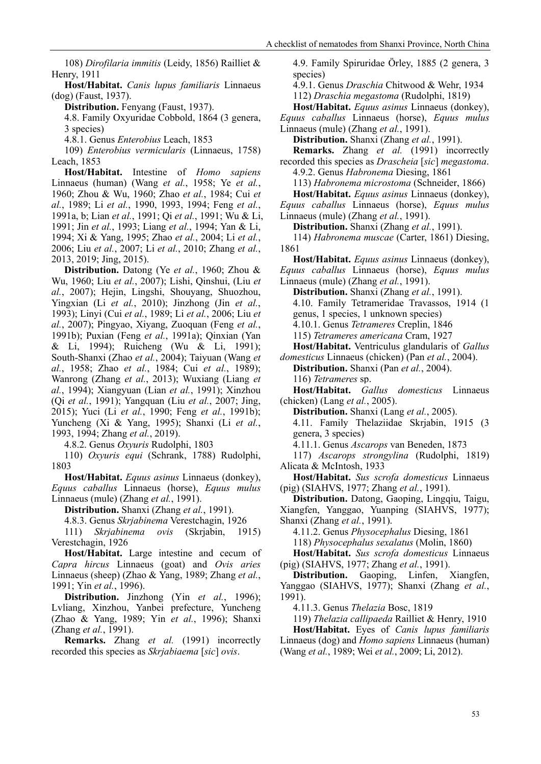108) *Dirofilaria immitis* (Leidy, 1856) Railliet & Henry, 1911

**Host/Habitat.** *Canis lupus familiaris* Linnaeus (dog) (Faust, 1937).

**Distribution.** Fenyang (Faust, 1937).

4.8. Family Oxyuridae Cobbold, 1864 (3 genera, 3 species)

4.8.1. Genus *Enterobius* Leach, 1853

109) *Enterobius vermicularis* (Linnaeus, 1758) Leach, 1853

**Host/Habitat.** Intestine of *Homo sapiens* Linnaeus (human) (Wang *et al.*, 1958; Ye *et al.*, 1960; Zhou & Wu, 1960; Zhao *et al.*, 1984; Cui *et al.*, 1989; Li *et al.*, 1990, 1993, 1994; Feng *et al.*, 1991a, b; Lian *et al.*, 1991; Qi *et al.*, 1991; Wu & Li, 1991; Jin *et al.*, 1993; Liang *et al.*, 1994; Yan & Li, 1994; Xi & Yang, 1995; Zhao *et al.*, 2004; Li *et al.*, 2006; Liu *et al.*, 2007; Li *et al.*, 2010; Zhang *et al.*, 2013, 2019; Jing, 2015).

**Distribution.** Datong (Ye *et al.*, 1960; Zhou & Wu, 1960; Liu *et al.*, 2007); Lishi, Qinshui, (Liu *et al.*, 2007); Hejin, Lingshi, Shouyang, Shuozhou, Yingxian (Li *et al.*, 2010); Jinzhong (Jin *et al.*, 1993); Linyi (Cui *et al.*, 1989; Li *et al.*, 2006; Liu *et al.*, 2007); Pingyao, Xiyang, Zuoquan (Feng *et al.*, 1991b); Puxian (Feng *et al.*, 1991a); Qinxian (Yan & Li, 1994); Ruicheng (Wu & Li, 1991); South-Shanxi (Zhao *et al.*, 2004); Taiyuan (Wang *et al.*, 1958; Zhao *et al.*, 1984; Cui *et al.*, 1989); Wanrong (Zhang *et al.*, 2013); Wuxiang (Liang *et al.*, 1994); Xiangyuan (Lian *et al.*, 1991); Xinzhou (Qi *et al.*, 1991); Yangquan (Liu *et al.*, 2007; Jing, 2015); Yuci (Li *et al.*, 1990; Feng *et al.*, 1991b); Yuncheng (Xi & Yang, 1995); Shanxi (Li *et al.*, 1993, 1994; Zhang *et al.*, 2019).

4.8.2. Genus *Oxyuris* Rudolphi, 1803

110) *Oxyuris equi* (Schrank, 1788) Rudolphi, 1803

**Host/Habitat.** *Equus asinus* Linnaeus (donkey), *Equus caballus* Linnaeus (horse), *Equus mulus*  Linnaeus (mule) (Zhang *et al.*, 1991).

**Distribution.** Shanxi (Zhang *et al.*, 1991).

4.8.3. Genus *Skrjabinema* Verestchagin, 1926

111) *Skrjabinema ovis* (Skrjabin, 1915) Verestchagin, 1926

**Host/Habitat.** Large intestine and cecum of *Capra hircus* Linnaeus (goat) and *Ovis aries*  Linnaeus (sheep) (Zhao & Yang, 1989; Zhang *et al.*, 1991; Yin *et al.*, 1996).

**Distribution.** Jinzhong (Yin *et al.*, 1996); Lvliang, Xinzhou, Yanbei prefecture, Yuncheng (Zhao & Yang, 1989; Yin *et al.*, 1996); Shanxi (Zhang *et al.*, 1991).

**Remarks.** Zhang *et al.* (1991) incorrectly recorded this species as *Skrjabiaema* [*sic*] *ovis*.

4.9. Family Spiruridae Örley, 1885 (2 genera, 3 species) 4.9.1. Genus *Draschia* Chitwood & Wehr, 1934 112) *Draschia megastoma* (Rudolphi, 1819) **Host/Habitat.** *Equus asinus* Linnaeus (donkey), *Equus caballus* Linnaeus (horse), *Equus mulus*  Linnaeus (mule) (Zhang *et al.*, 1991). **Distribution.** Shanxi (Zhang *et al.*, 1991). **Remarks.** Zhang *et al.* (1991) incorrectly recorded this species as *Drascheia* [*sic*] *megastoma*. 4.9.2. Genus *Habronema* Diesing, 1861 113) *Habronema microstoma* (Schneider, 1866) **Host/Habitat.** *Equus asinus* Linnaeus (donkey), *Equus caballus* Linnaeus (horse), *Equus mulus*  Linnaeus (mule) (Zhang *et al.*, 1991). **Distribution.** Shanxi (Zhang *et al.*, 1991). 114) *Habronema muscae* (Carter, 1861) Diesing, 1861 **Host/Habitat.** *Equus asinus* Linnaeus (donkey), *Equus caballus* Linnaeus (horse), *Equus mulus*  Linnaeus (mule) (Zhang *et al.*, 1991). **Distribution.** Shanxi (Zhang *et al.*, 1991).

4.10. Family Tetrameridae Travassos, 1914 (1

genus, 1 species, 1 unknown species)

4.10.1. Genus *Tetrameres* Creplin, 1846 115) *Tetrameres americana* Cram, 1927

**Host/Habitat.** Ventriculus glandularis of *Gallus* 

*domesticus* Linnaeus (chicken) (Pan *et al.*, 2004). **Distribution.** Shanxi (Pan *et al.*, 2004).

116) *Tetrameres* sp.

**Host/Habitat.** *Gallus domesticus* Linnaeus (chicken) (Lang *et al.*, 2005).

**Distribution.** Shanxi (Lang *et al.*, 2005). 4.11. Family Thelaziidae Skrjabin, 1915 (3 genera, 3 species)

4.11.1. Genus *Ascarops* van Beneden, 1873

117) *Ascarops strongylina* (Rudolphi, 1819) Alicata & McIntosh, 1933

**Host/Habitat.** *Sus scrofa domesticus* Linnaeus (pig) (SIAHVS, 1977; Zhang *et al.*, 1991).

**Distribution.** Datong, Gaoping, Lingqiu, Taigu, Xiangfen, Yanggao, Yuanping (SIAHVS, 1977); Shanxi (Zhang *et al.*, 1991).

4.11.2. Genus *Physocephalus* Diesing, 1861

118) *Physocephalus sexalatus* (Molin, 1860)

**Host/Habitat.** *Sus scrofa domesticus* Linnaeus (pig) (SIAHVS, 1977; Zhang *et al.*, 1991).

**Distribution.** Gaoping, Linfen, Xiangfen, Yanggao (SIAHVS, 1977); Shanxi (Zhang *et al.*, 1991).

4.11.3. Genus *Thelazia* Bosc, 1819

119) *Thelazia callipaeda* Railliet & Henry, 1910

**Host/Habitat.** Eyes of *Canis lupus familiaris* Linnaeus (dog) and *Homo sapiens* Linnaeus (human) (Wang *et al.*, 1989; Wei *et al.*, 2009; Li, 2012).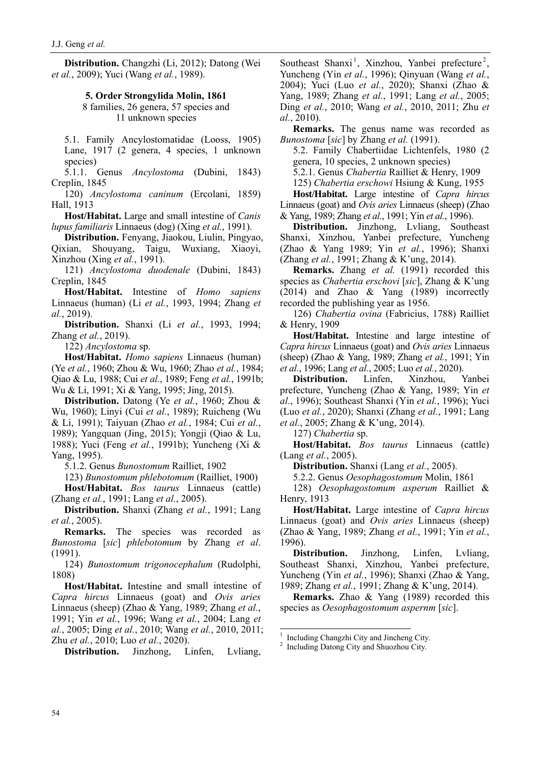**Distribution.** Changzhi (Li, 2012); Datong (Wei *et al.*, 2009); Yuci (Wang *et al.*, 1989).

# **5. Order Strongylida Molin, 1861**

8 families, 26 genera, 57 species and 11 unknown species

5.1. Family Ancylostomatidae (Looss, 1905) Lane, 1917 (2 genera, 4 species, 1 unknown species)

5.1.1. Genus *Ancylostoma* (Dubini, 1843) Creplin, 1845

120) *Ancylostoma caninum* (Ercolani, 1859) Hall, 1913

**Host/Habitat.** Large and small intestine of *Canis lupus familiaris* Linnaeus (dog) (Xing *et al.*, 1991).

**Distribution.** Fenyang, Jiaokou, Liulin, Pingyao, Qixian, Shouyang, Taigu, Wuxiang, Xiaoyi, Xinzhou (Xing *et al.*, 1991).

121) *Ancylostoma duodenale* (Dubini, 1843) Creplin, 1845

**Host/Habitat.** Intestine of *Homo sapiens* Linnaeus (human) (Li *et al.*, 1993, 1994; Zhang *et al.*, 2019).

**Distribution.** Shanxi (Li *et al.*, 1993, 1994; Zhang *et al.*, 2019).

122) *Ancylostoma* sp.

**Host/Habitat.** *Homo sapiens* Linnaeus (human) (Ye *et al.*, 1960; Zhou & Wu, 1960; Zhao *et al.*, 1984; Qiao & Lu, 1988; Cui *et al.*, 1989; Feng *et al.*, 1991b; Wu & Li, 1991; Xi & Yang, 1995; Jing, 2015).

**Distribution.** Datong (Ye *et al.*, 1960; Zhou & Wu, 1960); Linyi (Cui *et al.*, 1989); Ruicheng (Wu & Li, 1991); Taiyuan (Zhao *et al.*, 1984; Cui *et al.*, 1989); Yangquan (Jing, 2015); Yongji (Qiao & Lu, 1988); Yuci (Feng *et al.*, 1991b); Yuncheng (Xi & Yang, 1995).

5.1.2. Genus *Bunostomum* Railliet, 1902

123) *Bunostomum phlebotomum* (Railliet, 1900)

**Host/Habitat.** *Bos taurus* Linnaeus (cattle) (Zhang *et al.*, 1991; Lang *et al.*, 2005).

**Distribution.** Shanxi (Zhang *et al.*, 1991; Lang *et al.*, 2005).

**Remarks.** The species was recorded as *Bunostoma* [*sic*] *phlebotomum* by Zhang *et al*. (1991).

124) *Bunostomum trigonocephalum* (Rudolphi, 1808)

**Host/Habitat.** Intestine and small intestine of *Capra hircus* Linnaeus (goat) and *Ovis aries*  Linnaeus (sheep) (Zhao & Yang, 1989; Zhang *et al.*, 1991; Yin *et al.*, 1996; Wang *et al.*, 2004; Lang *et al.*, 2005; Ding *et al.*, 2010; Wang *et al.*, 2010, 2011; Zhu *et al.*, 2010; Luo *et al.*, 2020).

<span id="page-11-1"></span><span id="page-11-0"></span>**Distribution.** Jinzhong, Linfen, Lvliang,

Southeast Shanxi<sup>[1](#page-11-0)</sup>, Xinzhou, Yanbei prefecture<sup>[2](#page-11-1)</sup>, Yuncheng (Yin *et al.*, 1996); Qinyuan (Wang *et al.*, 2004); Yuci (Luo *et al.*, 2020); Shanxi (Zhao & Yang, 1989; Zhang *et al.*, 1991; Lang *et al.*, 2005; Ding *et al.*, 2010; Wang *et al.*, 2010, 2011; Zhu *et al.*, 2010).

**Remarks.** The genus name was recorded as *Bunostoma* [*sic*] by Zhang *et al.* (1991).

5.2. Family Chabertiidae Lichtenfels, 1980 (2 genera, 10 species, 2 unknown species)

5.2.1. Genus *Chabertia* Railliet & Henry, 1909

125) *Chabertia erschowi* Hsiung & Kung, 1955

**Host/Habitat.** Large intestine of *Capra hircus*  Linnaeus (goat) and *Ovis aries* Linnaeus (sheep) (Zhao & Yang, 1989; Zhang *et al.*, 1991; Yin *et al.*, 1996).

**Distribution.** Jinzhong, Lvliang, Southeast Shanxi, Xinzhou, Yanbei prefecture, Yuncheng (Zhao & Yang 1989; Yin *et al.*, 1996); Shanxi (Zhang *et al.*, 1991; Zhang & K'ung, 2014).

**Remarks.** Zhang *et al.* (1991) recorded this species as *Chabertia erschovi* [*sic*], Zhang & K'ung (2014) and Zhao & Yang (1989) incorrectly recorded the publishing year as 1956.

126) *Chabertia ovina* (Fabricius, 1788) Railliet & Henry, 1909

**Host/Habitat.** Intestine and large intestine of *Capra hircus* Linnaeus (goat) and *Ovis aries* Linnaeus (sheep) (Zhao & Yang, 1989; Zhang *et al.*, 1991; Yin *et al.*, 1996; Lang *et al.*, 2005; Luo *et al.*, 2020).

**Distribution.** Linfen, Xinzhou, Yanbei prefecture, Yuncheng (Zhao & Yang, 1989; Yin *et al.*, 1996); Southeast Shanxi (Yin *et al.*, 1996); Yuci (Luo *et al.*, 2020); Shanxi (Zhang *et al.*, 1991; Lang *et al.*, 2005; Zhang & K'ung, 2014).

127) *Chabertia* sp.

**Host/Habitat.** *Bos taurus* Linnaeus (cattle) (Lang *et al.*, 2005).

**Distribution.** Shanxi (Lang *et al.*, 2005).

5.2.2. Genus *Oesophagostomum* Molin, 1861

128) *Oesophagostomum asperum* Railliet & Henry, 1913

**Host/Habitat.** Large intestine of *Capra hircus*  Linnaeus (goat) and *Ovis aries* Linnaeus (sheep) (Zhao & Yang, 1989; Zhang *et al.*, 1991; Yin *et al.*, 1996).

**Distribution.** Jinzhong, Linfen, Lvliang, Southeast Shanxi, Xinzhou, Yanbei prefecture, Yuncheng (Yin *et al.*, 1996); Shanxi (Zhao & Yang, 1989; Zhang *et al.*, 1991; Zhang & K'ung, 2014).

**Remarks.** Zhao & Yang (1989) recorded this species as *Oesophagostomum aspernm* [*sic*].

 $^{\rm 1}$  Including Changzhi City and Shuozhou City. 2 Including Datong City and Shuozhou City.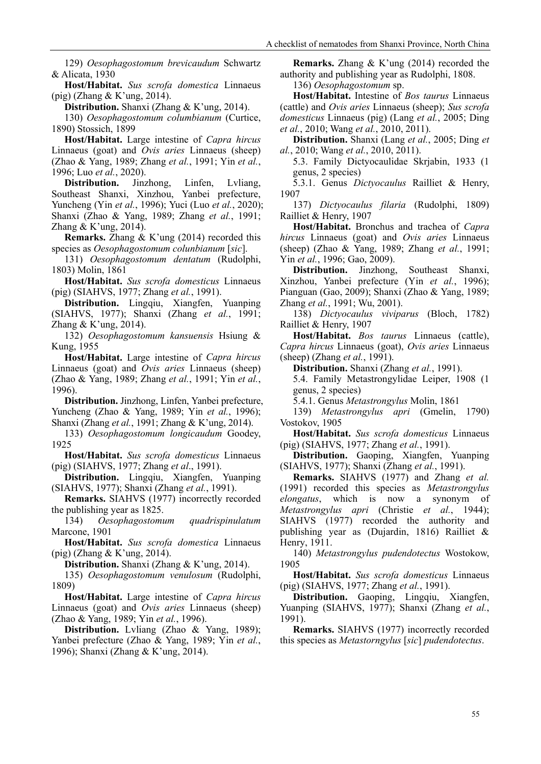129) *Oesophagostomum brevicaudum* Schwartz & Alicata, 1930

**Host/Habitat.** *Sus scrofa domestica* Linnaeus (pig) (Zhang & K'ung, 2014).

**Distribution.** Shanxi (Zhang & K'ung, 2014).

130) *Oesophagostomum columbianum* (Curtice, 1890) Stossich, 1899

**Host/Habitat.** Large intestine of *Capra hircus*  Linnaeus (goat) and *Ovis aries* Linnaeus (sheep) (Zhao & Yang, 1989; Zhang *et al.*, 1991; Yin *et al.*, 1996; Luo *et al.*, 2020).

**Distribution.** Jinzhong, Linfen, Lvliang, Southeast Shanxi, Xinzhou, Yanbei prefecture, Yuncheng (Yin *et al.*, 1996); Yuci (Luo *et al.*, 2020); Shanxi (Zhao & Yang, 1989; Zhang *et al.*, 1991; Zhang & K'ung, 2014).

**Remarks.** Zhang & K'ung (2014) recorded this species as *Oesophagostomum colunbianum* [*sic*].

131) *Oesophagostomum dentatum* (Rudolphi, 1803) Molin, 1861

**Host/Habitat.** *Sus scrofa domesticus* Linnaeus (pig) (SIAHVS, 1977; Zhang *et al.*, 1991).

**Distribution.** Lingqiu, Xiangfen, Yuanping (SIAHVS, 1977); Shanxi (Zhang *et al.*, 1991; Zhang & K'ung, 2014).

132) *Oesophagostomum kansuensis* Hsiung & Kung, 1955

**Host/Habitat.** Large intestine of *Capra hircus* Linnaeus (goat) and *Ovis aries* Linnaeus (sheep) (Zhao & Yang, 1989; Zhang *et al.*, 1991; Yin *et al.*, 1996).

**Distribution.** Jinzhong, Linfen, Yanbei prefecture, Yuncheng (Zhao & Yang, 1989; Yin *et al.*, 1996); Shanxi (Zhang *et al.*, 1991; Zhang & K'ung, 2014).

133) *Oesophagostomum longicaudum* Goodey, 1925

**Host/Habitat.** *Sus scrofa domesticus* Linnaeus (pig) (SIAHVS, 1977; Zhang *et al*., 1991).

**Distribution.** Lingqiu, Xiangfen, Yuanping (SIAHVS, 1977); Shanxi (Zhang *et al.*, 1991).

**Remarks.** SIAHVS (1977) incorrectly recorded the publishing year as 1825.

134) *Oesophagostomum quadrispinulatum* Marcone, 1901

**Host/Habitat.** *Sus scrofa domestica* Linnaeus (pig) (Zhang & K'ung, 2014).

**Distribution.** Shanxi (Zhang & K'ung, 2014).

135) *Oesophagostomum venulosum* (Rudolphi, 1809)

**Host/Habitat.** Large intestine of *Capra hircus*  Linnaeus (goat) and *Ovis aries* Linnaeus (sheep) (Zhao & Yang, 1989; Yin *et al.*, 1996).

**Distribution.** Lvliang (Zhao & Yang, 1989); Yanbei prefecture (Zhao & Yang, 1989; Yin *et al.*, 1996); Shanxi (Zhang & K'ung, 2014).

**Remarks.** Zhang & K'ung (2014) recorded the authority and publishing year as Rudolphi, 1808.

136) *Oesophagostomum* sp.

**Host/Habitat.** Intestine of *Bos taurus* Linnaeus (cattle) and *Ovis aries* Linnaeus (sheep); *Sus scrofa domesticus* Linnaeus (pig) (Lang *et al.*, 2005; Ding *et al.*, 2010; Wang *et al.*, 2010, 2011).

**Distribution.** Shanxi (Lang *et al.*, 2005; Ding *et al.*, 2010; Wang *et al.*, 2010, 2011).

5.3. Family Dictyocaulidae Skrjabin, 1933 (1 genus, 2 species)

5.3.1. Genus *Dictyocaulus* Railliet & Henry, 1907

137) *Dictyocaulus filaria* (Rudolphi, 1809) Railliet & Henry, 1907

**Host/Habitat.** Bronchus and trachea of *Capra hircus* Linnaeus (goat) and *Ovis aries* Linnaeus (sheep) (Zhao & Yang, 1989; Zhang *et al.*, 1991; Yin *et al.*, 1996; Gao, 2009).

**Distribution.** Jinzhong, Southeast Shanxi, Xinzhou, Yanbei prefecture (Yin *et al.*, 1996); Pianguan (Gao, 2009); Shanxi (Zhao & Yang, 1989; Zhang *et al.*, 1991; Wu, 2001).

138) *Dictyocaulus viviparus* (Bloch, 1782) Railliet & Henry, 1907

**Host/Habitat.** *Bos taurus* Linnaeus (cattle), *Capra hircus* Linnaeus (goat), *Ovis aries* Linnaeus (sheep) (Zhang *et al.*, 1991).

**Distribution.** Shanxi (Zhang *et al.*, 1991).

5.4. Family Metastrongylidae Leiper, 1908 (1 genus, 2 species)

5.4.1. Genus *Metastrongylus* Molin, 1861

139) *Metastrongylus apri* (Gmelin, 1790) Vostokov, 1905

**Host/Habitat.** *Sus scrofa domesticus* Linnaeus (pig) (SIAHVS, 1977; Zhang *et al.*, 1991).

**Distribution.** Gaoping, Xiangfen, Yuanping (SIAHVS, 1977); Shanxi (Zhang *et al.*, 1991).

**Remarks.** SIAHVS (1977) and Zhang *et al.* (1991) recorded this species as *Metastrongylus elongatus*, which is now a synonym of *Metastrongylus apri* (Christie *et al.*, 1944); SIAHVS (1977) recorded the authority and publishing year as (Dujardin, 1816) Railliet & Henry, 1911.

140) *Metastrongylus pudendotectus* Wostokow, 1905

**Host/Habitat.** *Sus scrofa domesticus* Linnaeus (pig) (SIAHVS, 1977; Zhang *et al.*, 1991).

**Distribution.** Gaoping, Lingqiu, Xiangfen, Yuanping (SIAHVS, 1977); Shanxi (Zhang *et al.*, 1991).

**Remarks.** SIAHVS (1977) incorrectly recorded this species as *Metastorngylus* [*sic*] *pudendotectus*.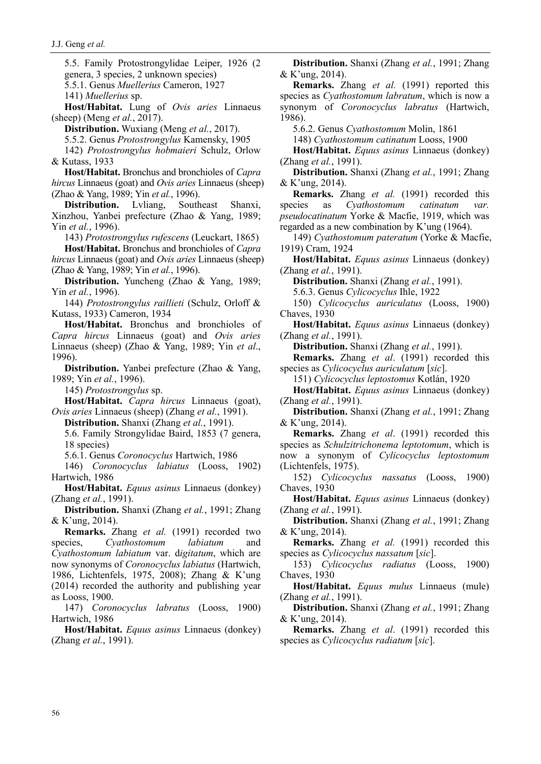5.5. Family Protostrongylidae Leiper, 1926 (2 genera, 3 species, 2 unknown species) 5.5.1. Genus *Muellerius* Cameron, 1927

141) *Muellerius* sp.

**Host/Habitat.** Lung of *Ovis aries* Linnaeus (sheep) (Meng *et al.*, 2017).

**Distribution.** Wuxiang (Meng *et al.*, 2017).

5.5.2. Genus *Protostrongylus* Kamensky, 1905

142) *Protostrongylus hobmaieri* Schulz, Orlow & Kutass, 1933

**Host/Habitat.** Bronchus and bronchioles of *Capra hircus* Linnaeus (goat) and *Ovis aries* Linnaeus (sheep) (Zhao & Yang, 1989; Yin *et al.*, 1996).

**Distribution.** Lvliang, Southeast Shanxi, Xinzhou, Yanbei prefecture (Zhao & Yang, 1989; Yin *et al.*, 1996).

143) *Protostrongylus rufescens* (Leuckart, 1865) **Host/Habitat.** Bronchus and bronchioles of *Capra hircus* Linnaeus (goat) and *Ovis aries* Linnaeus (sheep)

(Zhao & Yang, 1989; Yin *et al.*, 1996). **Distribution.** Yuncheng (Zhao & Yang, 1989; Yin *et al.*, 1996).

144) *Protostrongylus raillieti* (Schulz, Orloff & Kutass, 1933) Cameron, 1934

**Host/Habitat.** Bronchus and bronchioles of *Capra hircus* Linnaeus (goat) and *Ovis aries*  Linnaeus (sheep) (Zhao & Yang, 1989; Yin *et al*., 1996).

**Distribution.** Yanbei prefecture (Zhao & Yang, 1989; Yin *et al.*, 1996).

145) *Protostrongylus* sp.

**Host/Habitat.** *Capra hircus* Linnaeus (goat), *Ovis aries* Linnaeus (sheep) (Zhang *et al.*, 1991).

**Distribution.** Shanxi (Zhang *et al.*, 1991).

5.6. Family Strongylidae Baird, 1853 (7 genera, 18 species)

5.6.1. Genus *Coronocyclus* Hartwich, 1986

146) *Coronocyclus labiatus* (Looss, 1902) Hartwich, 1986

**Host/Habitat.** *Equus asinus* Linnaeus (donkey) (Zhang *et al.*, 1991).

**Distribution.** Shanxi (Zhang *et al.*, 1991; Zhang & K'ung, 2014).

**Remarks.** Zhang *et al.* (1991) recorded two species, *Cyathostomum labiatum* and *Cyathostomum labiatum* var. d*igitatum*, which are now synonyms of *Coronocyclus labiatus* (Hartwich, 1986, Lichtenfels, 1975, 2008); Zhang & K'ung (2014) recorded the authority and publishing year as Looss, 1900.

147) *Coronocyclus labratus* (Looss, 1900) Hartwich, 1986

**Host/Habitat.** *Equus asinus* Linnaeus (donkey) (Zhang *et al.*, 1991).

**Distribution.** Shanxi (Zhang *et al.*, 1991; Zhang & K'ung, 2014).

**Remarks.** Zhang *et al.* (1991) reported this species as *Cyathostomum labratum*, which is now a synonym of *Coronocyclus labratus* (Hartwich, 1986).

5.6.2. Genus *Cyathostomum* Molin, 1861

148) *Cyathostomum catinatum* Looss, 1900

**Host/Habitat.** *Equus asinus* Linnaeus (donkey) (Zhang *et al.*, 1991).

**Distribution.** Shanxi (Zhang *et al.*, 1991; Zhang & K'ung, 2014).

**Remarks.** Zhang *et al.* (1991) recorded this species as *Cyathostomum catinatum var. pseudocatinatum* Yorke & Macfie, 1919, which was regarded as a new combination by K'ung (1964).

149) *Cyathostomum pateratum* (Yorke & Macfie, 1919) Cram, 1924

**Host/Habitat.** *Equus asinus* Linnaeus (donkey) (Zhang *et al.*, 1991).

**Distribution.** Shanxi (Zhang *et al.*, 1991).

5.6.3. Genus *Cylicocyclus* Ihle, 1922

150) *Cylicocyclus auriculatus* (Looss, 1900) Chaves, 1930

**Host/Habitat.** *Equus asinus* Linnaeus (donkey) (Zhang *et al.*, 1991).

**Distribution.** Shanxi (Zhang *et al.*, 1991).

**Remarks.** Zhang *et al*. (1991) recorded this species as *Cylicocyclus auriculatum* [*sic*].

151) *Cylicocyclus leptostomus* Kotlán, 1920

**Host/Habitat.** *Equus asinus* Linnaeus (donkey) (Zhang *et al.*, 1991).

**Distribution.** Shanxi (Zhang *et al.*, 1991; Zhang & K'ung, 2014).

**Remarks.** Zhang *et al*. (1991) recorded this species as *Schulzitrichonema leptotomum*, which is now a synonym of *Cylicocyclus leptostomum* (Lichtenfels, 1975).

152) *Cylicocyclus nassatus* (Looss, 1900) Chaves, 1930

**Host/Habitat.** *Equus asinus* Linnaeus (donkey) (Zhang *et al.*, 1991).

**Distribution.** Shanxi (Zhang *et al.*, 1991; Zhang & K'ung, 2014).

**Remarks.** Zhang *et al.* (1991) recorded this species as *Cylicocyclus nassatum* [*sic*].

153) *Cylicocyclus radiatus* (Looss, 1900) Chaves, 1930

**Host/Habitat.** *Equus mulus* Linnaeus (mule) (Zhang *et al.*, 1991).

**Distribution.** Shanxi (Zhang *et al.*, 1991; Zhang & K'ung, 2014).

**Remarks.** Zhang *et al*. (1991) recorded this species as *Cylicocyclus radiatum* [*sic*].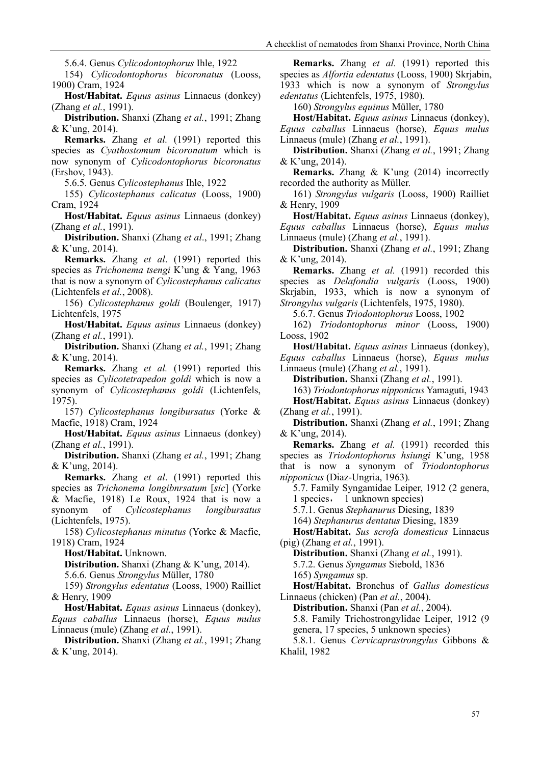5.6.4. Genus *Cylicodontophorus* Ihle, 1922

154) *Cylicodontophorus bicoronatus* (Looss, 1900) Cram, 1924

**Host/Habitat.** *Equus asinus* Linnaeus (donkey) (Zhang *et al.*, 1991).

**Distribution.** Shanxi (Zhang *et al.*, 1991; Zhang & K'ung, 2014).

**Remarks.** Zhang *et al.* (1991) reported this species as *Cyathostomum bicoronatum* which is now synonym of *Cylicodontophorus bicoronatus* (Ershov, 1943).

5.6.5. Genus *Cylicostephanus* Ihle, 1922

155) *Cylicostephanus calicatus* (Looss, 1900) Cram, 1924

**Host/Habitat.** *Equus asinus* Linnaeus (donkey) (Zhang *et al.*, 1991).

**Distribution.** Shanxi (Zhang *et al*., 1991; Zhang & K'ung, 2014).

**Remarks.** Zhang *et al*. (1991) reported this species as *Trichonema tsengi* K'ung & Yang, 1963 that is now a synonym of *Cylicostephanus calicatus* (Lichtenfels *et al.*, 2008).

156) *Cylicostephanus goldi* (Boulenger, 1917) Lichtenfels, 1975

**Host/Habitat.** *Equus asinus* Linnaeus (donkey) (Zhang *et al.*, 1991).

**Distribution.** Shanxi (Zhang *et al.*, 1991; Zhang & K'ung, 2014).

**Remarks.** Zhang *et al.* (1991) reported this species as *Cylicotetrapedon goldi* which is now a synonym of *Cylicostephanus goldi* (Lichtenfels, 1975).

157) *Cylicostephanus longibursatus* (Yorke & Macfie, 1918) Cram, 1924

**Host/Habitat.** *Equus asinus* Linnaeus (donkey) (Zhang *et al.*, 1991).

**Distribution.** Shanxi (Zhang *et al.*, 1991; Zhang & K'ung, 2014).

**Remarks.** Zhang *et al*. (1991) reported this species as *Trichonema longibnrsatum* [*sic*] (Yorke & Macfie, 1918) Le Roux, 1924 that is now a synonym of *Cylicostephanus longibursatus* (Lichtenfels, 1975).

158) *Cylicostephanus minutus* (Yorke & Macfie, 1918) Cram, 1924

**Host/Habitat.** Unknown.

**Distribution.** Shanxi (Zhang & K'ung, 2014).

5.6.6. Genus *Strongylus* Müller, 1780

159) *Strongylus edentatus* (Looss, 1900) Railliet & Henry, 1909

**Host/Habitat.** *Equus asinus* Linnaeus (donkey), *Equus caballus* Linnaeus (horse), *Equus mulus*  Linnaeus (mule) (Zhang *et al.*, 1991).

**Distribution.** Shanxi (Zhang *et al.*, 1991; Zhang & K'ung, 2014).

**Remarks.** Zhang *et al.* (1991) reported this species as *Alfortia edentatus* (Looss, 1900) Skrjabin, 1933 which is now a synonym of *Strongylus edentatus* (Lichtenfels, 1975, 1980)*.*

160) *Strongylus equinus* Müller, 1780

**Host/Habitat.** *Equus asinus* Linnaeus (donkey), *Equus caballus* Linnaeus (horse), *Equus mulus*  Linnaeus (mule) (Zhang *et al.*, 1991).

**Distribution.** Shanxi (Zhang *et al.*, 1991; Zhang & K'ung, 2014).

**Remarks.** Zhang & K'ung (2014) incorrectly recorded the authority as Müller.

161) *Strongylus vulgaris* (Looss, 1900) Railliet & Henry, 1909

**Host/Habitat.** *Equus asinus* Linnaeus (donkey), *Equus caballus* Linnaeus (horse), *Equus mulus*  Linnaeus (mule) (Zhang *et al.*, 1991).

**Distribution.** Shanxi (Zhang *et al.*, 1991; Zhang & K'ung, 2014).

**Remarks.** Zhang *et al.* (1991) recorded this species as *Delafondia vulgaris* (Looss, 1900) Skrjabin, 1933, which is now a synonym of *Strongylus vulgaris* (Lichtenfels, 1975, 1980).

5.6.7. Genus *Triodontophorus* Looss, 1902

162) *Triodontophorus minor* (Looss, 1900) Looss, 1902

**Host/Habitat.** *Equus asinus* Linnaeus (donkey), *Equus caballus* Linnaeus (horse), *Equus mulus*  Linnaeus (mule) (Zhang *et al.*, 1991).

**Distribution.** Shanxi (Zhang *et al.*, 1991).

163) *Triodontophorus nipponicus* Yamaguti, 1943 **Host/Habitat.** *Equus asinus* Linnaeus (donkey) (Zhang *et al.*, 1991).

**Distribution.** Shanxi (Zhang *et al.*, 1991; Zhang & K'ung, 2014).

**Remarks.** Zhang *et al.* (1991) recorded this species as *Triodontophorus hsiungi* K'ung, 1958 that is now a synonym of *Triodontophorus nipponicus* (Diaz-Ungria, 1963)*.*

5.7. Family Syngamidae Leiper, 1912 (2 genera,

1 species, 1 unknown species)

5.7.1. Genus *Stephanurus* Diesing, 1839

164) *Stephanurus dentatus* Diesing, 1839

**Host/Habitat.** *Sus scrofa domesticus* Linnaeus (pig) (Zhang *et al.*, 1991).

**Distribution.** Shanxi (Zhang *et al.*, 1991). 5.7.2. Genus *Syngamus* Siebold, 1836

165) *Syngamus* sp.

**Host/Habitat.** Bronchus of *Gallus domesticus* Linnaeus (chicken) (Pan *et al.*, 2004).

**Distribution.** Shanxi (Pan *et al.*, 2004).

5.8. Family Trichostrongylidae Leiper, 1912 (9 genera, 17 species, 5 unknown species)

5.8.1. Genus *Cervicaprastrongylus* Gibbons & Khalil, 1982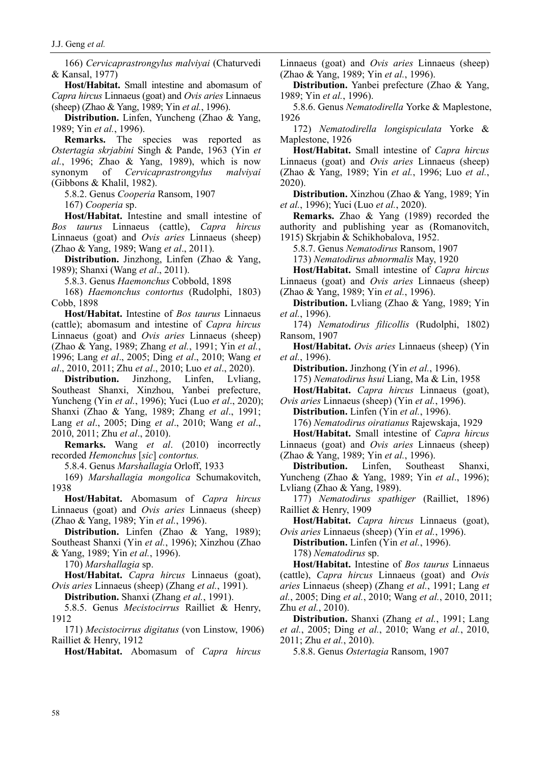166) *Cervicaprastrongylus malviyai* (Chaturvedi & Kansal, 1977)

**Host/Habitat.** Small intestine and abomasum of *Capra hircus* Linnaeus (goat) and *Ovis aries* Linnaeus (sheep) (Zhao & Yang, 1989; Yin *et al.*, 1996).

**Distribution.** Linfen, Yuncheng (Zhao & Yang, 1989; Yin *et al.*, 1996).

**Remarks.** The species was reported as *Ostertagia skrjabini* Singh & Pande, 1963 (Yin *et al.*, 1996; Zhao & Yang, 1989), which is now synonym of *Cervicaprastrongylus malviyai* (Gibbons & Khalil, 1982).

5.8.2. Genus *Cooperia* Ransom, 1907

167) *Cooperia* sp.

**Host/Habitat.** Intestine and small intestine of *Bos taurus* Linnaeus (cattle), *Capra hircus*  Linnaeus (goat) and *Ovis aries* Linnaeus (sheep) (Zhao & Yang, 1989; Wang *et al*., 2011).

**Distribution.** Jinzhong, Linfen (Zhao & Yang, 1989); Shanxi (Wang *et al*., 2011).

5.8.3. Genus *Haemonchus* Cobbold, 1898

168) *Haemonchus contortus* (Rudolphi, 1803) Cobb, 1898

**Host/Habitat.** Intestine of *Bos taurus* Linnaeus (cattle); abomasum and intestine of *Capra hircus*  Linnaeus (goat) and *Ovis aries* Linnaeus (sheep) (Zhao & Yang, 1989; Zhang *et al.*, 1991; Yin *et al.*, 1996; Lang *et al*., 2005; Ding *et al*., 2010; Wang *et al*., 2010, 2011; Zhu *et al*., 2010; Luo *et al*., 2020).

**Distribution.** Jinzhong, Linfen, Lvliang, Southeast Shanxi, Xinzhou, Yanbei prefecture, Yuncheng (Yin *et al.*, 1996); Yuci (Luo *et al*., 2020); Shanxi (Zhao & Yang, 1989; Zhang *et al*., 1991; Lang *et al*., 2005; Ding *et al*., 2010; Wang *et al*., 2010, 2011; Zhu *et al*., 2010).

**Remarks.** Wang *et al*. (2010) incorrectly recorded *Hemonchus* [*sic*] *contortus.*

5.8.4. Genus *Marshallagia* Orloff, 1933

169) *Marshallagia mongolica* Schumakovitch, 1938

**Host/Habitat.** Abomasum of *Capra hircus*  Linnaeus (goat) and *Ovis aries* Linnaeus (sheep) (Zhao & Yang, 1989; Yin *et al.*, 1996).

**Distribution.** Linfen (Zhao & Yang, 1989); Southeast Shanxi (Yin *et al.*, 1996); Xinzhou (Zhao & Yang, 1989; Yin *et al.*, 1996).

170) *Marshallagia* sp.

**Host/Habitat.** *Capra hircus* Linnaeus (goat), *Ovis aries* Linnaeus (sheep) (Zhang *et al.*, 1991).

**Distribution.** Shanxi (Zhang *et al.*, 1991).

5.8.5. Genus *Mecistocirrus* Railliet & Henry, 1912

171) *Mecistocirrus digitatus* (von Linstow, 1906) Railliet & Henry, 1912

**Host/Habitat.** Abomasum of *Capra hircus* 

Linnaeus (goat) and *Ovis aries* Linnaeus (sheep) (Zhao & Yang, 1989; Yin *et al.*, 1996).

**Distribution.** Yanbei prefecture (Zhao & Yang, 1989; Yin *et al.*, 1996).

5.8.6. Genus *Nematodirella* Yorke & Maplestone, 1926

172) *Nematodirella longispiculata* Yorke & Maplestone, 1926

**Host/Habitat.** Small intestine of *Capra hircus*  Linnaeus (goat) and *Ovis aries* Linnaeus (sheep) (Zhao & Yang, 1989; Yin *et al.*, 1996; Luo *et al.*, 2020).

**Distribution.** Xinzhou (Zhao & Yang, 1989; Yin *et al.*, 1996); Yuci (Luo *et al.*, 2020).

**Remarks.** Zhao & Yang (1989) recorded the authority and publishing year as (Romanovitch, 1915) Skrjabin & Schikhobalova, 1952.

5.8.7. Genus *Nematodirus* Ransom, 1907

173) *Nematodirus abnormalis* May, 1920

**Host/Habitat.** Small intestine of *Capra hircus*  Linnaeus (goat) and *Ovis aries* Linnaeus (sheep) (Zhao & Yang, 1989; Yin *et al.*, 1996).

**Distribution.** Lvliang (Zhao & Yang, 1989; Yin *et al.*, 1996).

174) *Nematodirus filicollis* (Rudolphi, 1802) Ransom, 1907

**Host/Habitat.** *Ovis aries* Linnaeus (sheep) (Yin *et al.*, 1996).

**Distribution.** Jinzhong (Yin *et al.*, 1996).

175) *Nematodirus hsui* Liang, Ma & Lin, 1958

**Host/Habitat.** *Capra hircus* Linnaeus (goat), *Ovis aries* Linnaeus (sheep) (Yin *et al.*, 1996).

**Distribution.** Linfen (Yin *et al.*, 1996).

176) *Nematodirus oiratianus* Rajewskaja, 1929

**Host/Habitat.** Small intestine of *Capra hircus* 

Linnaeus (goat) and *Ovis aries* Linnaeus (sheep) (Zhao & Yang, 1989; Yin *et al.*, 1996).

**Distribution.** Linfen, Southeast Shanxi, Yuncheng (Zhao & Yang, 1989; Yin *et al*., 1996);

Lvliang (Zhao & Yang, 1989).

177) *Nematodirus spathiger* (Railliet, 1896) Railliet & Henry, 1909

**Host/Habitat.** *Capra hircus* Linnaeus (goat), *Ovis aries* Linnaeus (sheep) (Yin *et al.*, 1996).

**Distribution.** Linfen (Yin *et al.*, 1996).

178) *Nematodirus* sp.

**Host/Habitat.** Intestine of *Bos taurus* Linnaeus (cattle), *Capra hircus* Linnaeus (goat) and *Ovis aries* Linnaeus (sheep) (Zhang *et al.*, 1991; Lang *et al.*, 2005; Ding *et al.*, 2010; Wang *et al.*, 2010, 2011; Zhu *et al.*, 2010).

**Distribution.** Shanxi (Zhang *et al.*, 1991; Lang *et al.*, 2005; Ding *et al.*, 2010; Wang *et al.*, 2010, 2011; Zhu *et al.*, 2010).

5.8.8. Genus *Ostertagia* Ransom, 1907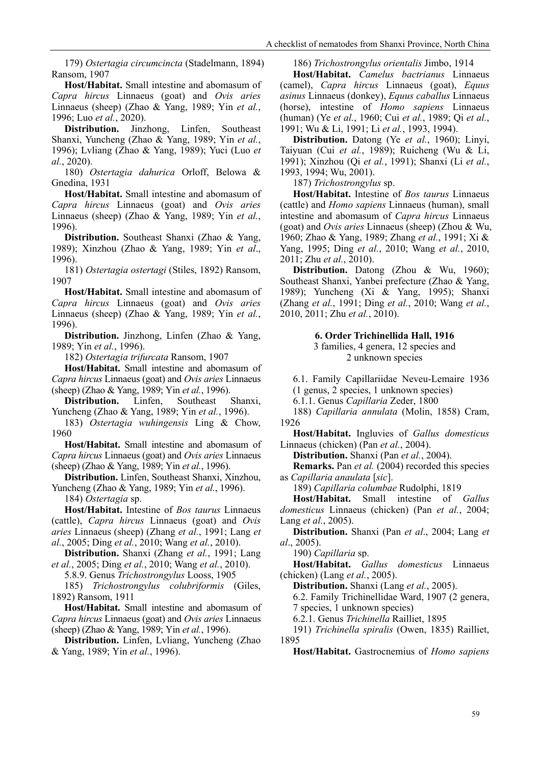179) *Ostertagia circumcincta* (Stadelmann, 1894) Ransom, 1907

**Host/Habitat.** Small intestine and abomasum of *Capra hircus* Linnaeus (goat) and *Ovis aries* Linnaeus (sheep) (Zhao & Yang, 1989; Yin *et al.*, 1996; Luo *et al.*, 2020).

**Distribution.** Jinzhong, Linfen, Southeast Shanxi, Yuncheng (Zhao & Yang, 1989; Yin *et al.*, 1996); Lvliang (Zhao & Yang, 1989); Yuci (Luo *et al.*, 2020).

180) *Ostertagia dahurica* Orloff, Belowa & Gnedina, 1931

**Host/Habitat.** Small intestine and abomasum of *Capra hircus* Linnaeus (goat) and *Ovis aries* Linnaeus (sheep) (Zhao & Yang, 1989; Yin *et al.*, 1996).

**Distribution.** Southeast Shanxi (Zhao & Yang, 1989); Xinzhou (Zhao & Yang, 1989; Yin *et al*., 1996).

181) *Ostertagia ostertagi* (Stiles, 1892) Ransom, 1907

**Host/Habitat.** Small intestine and abomasum of *Capra hircus* Linnaeus (goat) and *Ovis aries* Linnaeus (sheep) (Zhao & Yang, 1989; Yin *et al.*, 1996).

**Distribution.** Jinzhong, Linfen (Zhao & Yang, 1989; Yin *et al.*, 1996).

182) *Ostertagia trifurcata* Ransom, 1907

**Host/Habitat.** Small intestine and abomasum of *Capra hircus* Linnaeus (goat) and *Ovis aries* Linnaeus (sheep) (Zhao & Yang, 1989; Yin *et al.*, 1996).

**Distribution.** Linfen, Southeast Shanxi, Yuncheng (Zhao & Yang, 1989; Yin *et al.*, 1996).

183) *Ostertagia wuhingensis* Ling & Chow, 1960

**Host/Habitat.** Small intestine and abomasum of *Capra hircus* Linnaeus (goat) and *Ovis aries* Linnaeus (sheep) (Zhao & Yang, 1989; Yin *et al.*, 1996).

**Distribution.** Linfen, Southeast Shanxi, Xinzhou, Yuncheng (Zhao & Yang, 1989; Yin *et al.*, 1996).

184) *Ostertagia* sp.

**Host/Habitat.** Intestine of *Bos taurus* Linnaeus (cattle), *Capra hircus* Linnaeus (goat) and *Ovis aries* Linnaeus (sheep) (Zhang *et al.*, 1991; Lang *et al.*, 2005; Ding *et al.*, 2010; Wang *et al.*, 2010).

**Distribution.** Shanxi (Zhang *et al.*, 1991; Lang *et al.*, 2005; Ding *et al.*, 2010; Wang *et al.*, 2010).

5.8.9. Genus *Trichostrongylus* Looss, 1905

185) *Trichostrongylus colubriformis* (Giles, 1892) Ransom, 1911

**Host/Habitat.** Small intestine and abomasum of *Capra hircus* Linnaeus (goat) and *Ovis aries* Linnaeus (sheep) (Zhao & Yang, 1989; Yin *et al.*, 1996).

**Distribution.** Linfen, Lvliang, Yuncheng (Zhao & Yang, 1989; Yin *et al.*, 1996).

186) *Trichostrongylus orientalis* Jimbo, 1914

**Host/Habitat.** *Camelus bactrianus* Linnaeus (camel), *Capra hircus* Linnaeus (goat), *Equus asinus* Linnaeus (donkey), *Equus caballus* Linnaeus (horse), intestine of *Homo sapiens* Linnaeus (human) (Ye *et al.*, 1960; Cui *et al.*, 1989; Qi *et al.*, 1991; Wu & Li, 1991; Li *et al.*, 1993, 1994).

**Distribution.** Datong (Ye *et al.*, 1960); Linyi, Taiyuan (Cui *et al.*, 1989); Ruicheng (Wu & Li, 1991); Xinzhou (Qi *et al.*, 1991); Shanxi (Li *et al.*, 1993, 1994; Wu, 2001).

187) *Trichostrongylus* sp.

**Host/Habitat.** Intestine of *Bos taurus* Linnaeus (cattle) and *Homo sapiens* Linnaeus (human), small intestine and abomasum of *Capra hircus* Linnaeus (goat) and *Ovis aries* Linnaeus (sheep) (Zhou & Wu, 1960; Zhao & Yang, 1989; Zhang *et al.*, 1991; Xi & Yang, 1995; Ding *et al.*, 2010; Wang *et al.*, 2010, 2011; Zhu *et al.*, 2010).

**Distribution.** Datong (Zhou & Wu, 1960); Southeast Shanxi, Yanbei prefecture (Zhao & Yang, 1989); Yuncheng (Xi & Yang, 1995); Shanxi (Zhang *et al.*, 1991; Ding *et al.*, 2010; Wang *et al.*, 2010, 2011; Zhu *et al.*, 2010).

> **6. Order Trichinellida Hall, 1916** 3 families, 4 genera, 12 species and

2 unknown species

6.1. Family Capillariidae Neveu-Lemaire 1936 (1 genus, 2 species, 1 unknown species)

6.1.1. Genus *Capillaria* Zeder, 1800

188) *Capillaria annulata* [\(Molin, 1858\) Cram,](https://www.cabdirect.org/cabdirect/abstract/19490801482)  [1926](https://www.cabdirect.org/cabdirect/abstract/19490801482)

**Host/Habitat.** Ingluvies of *Gallus domesticus* Linnaeus (chicken) (Pan *et al.*, 2004).

**Distribution.** Shanxi (Pan *et al.*, 2004).

**Remarks.** Pan *et al.* (2004) recorded this species as *Capillaria anaulata* [*sic*].

189) *Capillaria columbae* Rudolphi, 1819

**Host/Habitat.** Small intestine of *Gallus domesticus* Linnaeus (chicken) (Pan *et al.*, 2004; Lang *et al.*, 2005).

**Distribution.** Shanxi (Pan *et al*., 2004; Lang *et al*., 2005).

190) *Capillaria* sp.

**Host/Habitat.** *Gallus domesticus* Linnaeus (chicken) (Lang *et al.*, 2005).

**Distribution.** Shanxi (Lang *et al.*, 2005).

6.2. Family Trichinellidae Ward, 1907 (2 genera, 7 species, 1 unknown species)

6.2.1. Genus *Trichinella* Railliet, 1895

191) *Trichinella spiralis* (Owen, 1835) Railliet, 1895

**Host/Habitat.** Gastrocnemius of *Homo sapiens*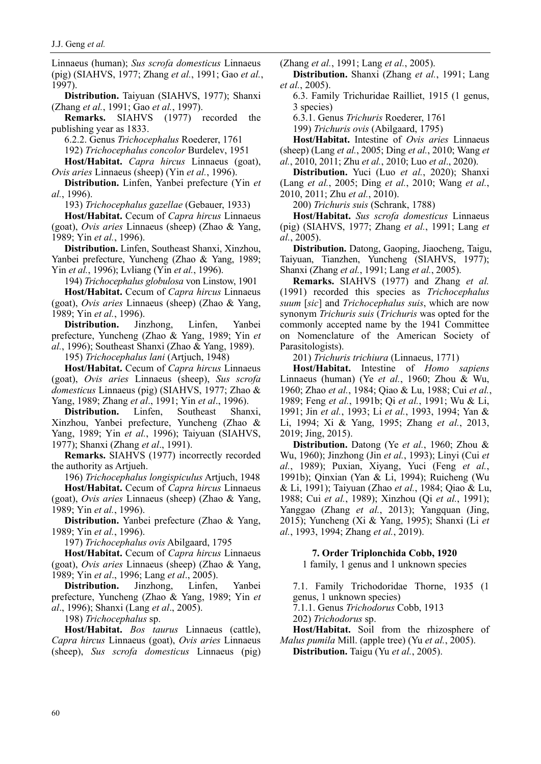Linnaeus (human); *Sus scrofa domesticus* Linnaeus (pig) (SIAHVS, 1977; Zhang *et al.*, 1991; Gao *et al.*, 1997).

**Distribution.** Taiyuan (SIAHVS, 1977); Shanxi (Zhang *et al.*, 1991; Gao *et al.*, 1997).

**Remarks.** SIAHVS (1977) recorded the publishing year as 1833.

6.2.2. Genus *Trichocephalus* Roederer, 1761

192) *Trichocephalus concolor* Burdelev, 1951

**Host/Habitat.** *Capra hircus* Linnaeus (goat), *Ovis aries* Linnaeus (sheep) (Yin *et al.*, 1996).

**Distribution.** Linfen, Yanbei prefecture (Yin *et al.*, 1996).

193) *Trichocephalus gazellae* (Gebauer, 1933)

**Host/Habitat.** Cecum of *Capra hircus* Linnaeus (goat), *Ovis aries* Linnaeus (sheep) (Zhao & Yang, 1989; Yin *et al.*, 1996).

**Distribution.** Linfen, Southeast Shanxi, Xinzhou, Yanbei prefecture, Yuncheng (Zhao & Yang, 1989; Yin *et al.*, 1996); Lvliang (Yin *et al.*, 1996).

194) *Trichocephalus globulosa* von Linstow, 1901

**Host/Habitat.** Cecum of *Capra hircus* Linnaeus (goat), *Ovis aries* Linnaeus (sheep) (Zhao & Yang, 1989; Yin *et al.*, 1996).

**Distribution.** Jinzhong, Linfen, Yanbei prefecture, Yuncheng (Zhao & Yang, 1989; Yin *et al.*, 1996); Southeast Shanxi (Zhao & Yang, 1989).

195) *Trichocephalus lani* (Artjuch, 1948)

**Host/Habitat.** Cecum of *Capra hircus* Linnaeus (goat), *Ovis aries* Linnaeus (sheep), *Sus scrofa domesticus* Linnaeus (pig) (SIAHVS, 1977; Zhao & Yang, 1989; Zhang *et al*., 1991; Yin *et al*., 1996).

**Distribution.** Linfen, Southeast Shanxi, Xinzhou, Yanbei prefecture, Yuncheng (Zhao & Yang, 1989; Yin *et al.*, 1996); Taiyuan (SIAHVS, 1977); Shanxi (Zhang *et al*., 1991).

**Remarks.** SIAHVS (1977) incorrectly recorded the authority as Artjueh.

196) *Trichocephalus longispiculus* Artjuch, 1948 **Host/Habitat.** Cecum of *Capra hircus* Linnaeus (goat), *Ovis aries* Linnaeus (sheep) (Zhao & Yang, 1989; Yin *et al.*, 1996).

**Distribution.** Yanbei prefecture (Zhao & Yang, 1989; Yin *et al.*, 1996).

197) *Trichocephalus ovis* Abilgaard, 1795

**Host/Habitat.** Cecum of *Capra hircus* Linnaeus (goat), *Ovis aries* Linnaeus (sheep) (Zhao & Yang, 1989; Yin *et al*., 1996; Lang *et al*., 2005).

**Distribution.** Jinzhong, Linfen, Yanbei prefecture, Yuncheng (Zhao & Yang, 1989; Yin *et al*., 1996); Shanxi (Lang *et al*., 2005).

198) *Trichocephalus* sp.

**Host/Habitat.** *Bos taurus* Linnaeus (cattle), *Capra hircus* Linnaeus (goat), *Ovis aries* Linnaeus (sheep), *Sus scrofa domesticus* Linnaeus (pig) (Zhang *et al.*, 1991; Lang *et al.*, 2005).

**Distribution.** Shanxi (Zhang *et al.*, 1991; Lang *et al.*, 2005).

6.3. Family Trichuridae Railliet, 1915 (1 genus, 3 species)

6.3.1. Genus *Trichuris* Roederer, 1761

199) *Trichuris ovis* (Abilgaard, 1795)

**Host/Habitat.** Intestine of *Ovis aries* Linnaeus (sheep) (Lang *et al.*, 2005; Ding *et al.*, 2010; Wang *et al.*, 2010, 2011; Zhu *et al.*, 2010; Luo *et al*., 2020).

**Distribution.** Yuci (Luo *et al.*, 2020); Shanxi (Lang *et al.*, 2005; Ding *et al.*, 2010; Wang *et al.*, 2010, 2011; Zhu *et al.*, 2010).

200) *Trichuris suis* (Schrank, 1788)

**Host/Habitat.** *Sus scrofa domesticus* Linnaeus (pig) (SIAHVS, 1977; Zhang *et al.*, 1991; Lang *et al.*, 2005).

**Distribution.** Datong, Gaoping, Jiaocheng, Taigu, Taiyuan, Tianzhen, Yuncheng (SIAHVS, 1977); Shanxi (Zhang *et al.*, 1991; Lang *et al.*, 2005).

**Remarks.** SIAHVS (1977) and Zhang *et al.* (1991) recorded this species as *Trichocephalus suum* [*sic*] and *Trichocephalus suis*, which are now synonym *Trichuris suis* (*Trichuris* was opted for the commonly accepted name by the 1941 Committee on Nomenclature of the American Society of Parasitologists).

201) *Trichuris trichiura* (Linnaeus, 1771)

**Host/Habitat.** Intestine of *Homo sapiens* Linnaeus (human) (Ye *et al.*, 1960; Zhou & Wu, 1960; Zhao *et al.*, 1984; Qiao & Lu, 1988; Cui *et al.*, 1989; Feng *et al.*, 1991b; Qi *et al.*, 1991; Wu & Li, 1991; Jin *et al.*, 1993; Li *et al.*, 1993, 1994; Yan & Li, 1994; Xi & Yang, 1995; Zhang *et al.*, 2013, 2019; Jing, 2015).

**Distribution.** Datong (Ye *et al.*, 1960; Zhou & Wu, 1960); Jinzhong (Jin *et al.*, 1993); Linyi (Cui *et al.*, 1989); Puxian, Xiyang, Yuci (Feng *et al.*, 1991b); Qinxian (Yan & Li, 1994); Ruicheng (Wu & Li, 1991); Taiyuan (Zhao *et al.*, 1984; Qiao & Lu, 1988; Cui *et al.*, 1989); Xinzhou (Qi *et al.*, 1991); Yanggao (Zhang *et al.*, 2013); Yangquan (Jing, 2015); Yuncheng (Xi & Yang, 1995); Shanxi (Li *et al.*, 1993, 1994; Zhang *et al.*, 2019).

## **7. Order Triplonchida Cobb, 1920**

1 family, 1 genus and 1 unknown species

7.1. Family Trichodoridae Thorne, 1935 (1 genus, 1 unknown species)

7.1.1. Genus *Trichodorus* Cobb, 1913

202) *Trichodorus* sp.

**Host/Habitat.** Soil from the rhizosphere of *Malus pumila* Mill. (apple tree) (Yu *et al.*, 2005).

**Distribution.** Taigu (Yu *et al.*, 2005).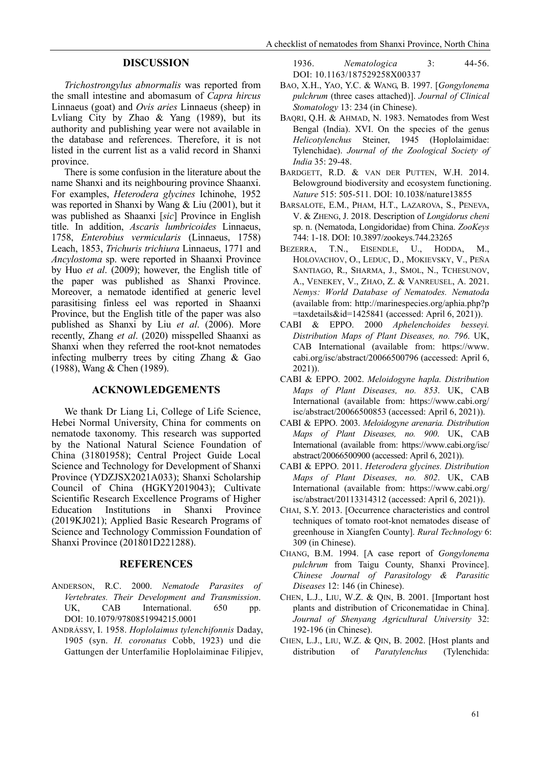#### **DISCUSSION**

*Trichostrongylus abnormalis* was reported from the small intestine and abomasum of *Capra hircus*  Linnaeus (goat) and *Ovis aries* Linnaeus (sheep) in Lvliang City by Zhao & Yang (1989), but its authority and publishing year were not available in the database and references. Therefore, it is not listed in the current list as a valid record in Shanxi province.

There is some confusion in the literature about the name Shanxi and its neighbouring province Shaanxi. For examples, *Heterodera glycines* Ichinohe, 1952 was reported in Shanxi by Wang & Liu (2001), but it was published as Shaanxi [*sic*] Province in English title. In addition, *Ascaris lumbricoides* Linnaeus, 1758, *Enterobius vermicularis* (Linnaeus, 1758) Leach, 1853, *Trichuris trichiura* Linnaeus, 1771 and *Ancylostoma* sp. were reported in Shaanxi Province by Huo *et al*. (2009); however, the English title of the paper was published as Shanxi Province. Moreover, a nematode identified at generic level parasitising finless eel was reported in Shaanxi Province, but the English title of the paper was also published as Shanxi by Liu *et al.* (2006). More recently, Zhang *et al*. (2020) misspelled Shaanxi as Shanxi when they referred the root-knot nematodes infecting mulberry trees by citing Zhang & Gao (1988), Wang & Chen (1989).

#### **ACKNOWLEDGEMENTS**

We thank Dr Liang Li, College of Life Science, Hebei Normal University, China for comments on nematode taxonomy. This research was supported by the National Natural Science Foundation of China (31801958); Central Project Guide Local Science and Technology for Development of Shanxi Province (YDZJSX2021A033); Shanxi Scholarship Council of China (HGKY2019043); Cultivate Scientific Research Excellence Programs of Higher Education Institutions in Shanxi Province (2019KJ021); Applied Basic Research Programs of Science and Technology Commission Foundation of Shanxi Province (201801D221288).

#### **REFERENCES**

- ANDERSON, R.C. 2000. *Nematode Parasites of Vertebrates. Their Development and Transmission*. UK, CAB International. 650 pp. DOI: [10.1079/9780851994215.0001](https://doi.org/10.1079/9780851994215.0001)
- ANDRÁSSY, I. 1958. *Hoplolaimus tylenchifonnis* Daday, 1905 (syn. *H. coronatus* Cobb, 1923) und die Gattungen der Unterfamilie Hoplolaiminae Filipjev,

1936. *Nematologica* 3: 44-56. DOI: 10.1163/187529258X00337

- BAO, X.H., YAO, Y.C. & WANG, B. 1997. [*Gongylonema pulchrum* (three cases attached)]. *Journal of Clinical Stomatology* 13: 234 (in Chinese).
- BAQRI, Q.H. & AHMAD, N. 1983. Nematodes from West Bengal (India). XVI. On the species of the genus *Helicotylenchus* Steiner, 1945 (Hoplolaimidae: Tylenchidae). *Journal of the Zoological Society of India* 35: 29-48.
- BARDGETT, R.D. & VAN DER PUTTEN, W.H. 2014. Belowground biodiversity and ecosystem functioning. *Nature* 515: 505-511. DOI: [10.1038/nature13855](https://doi.org/10.1038/nature13855)
- BARSALOTE, E.M., PHAM, H.T., LAZAROVA, S., PENEVA, V. & ZHENG, J. 2018. Description of *Longidorus cheni* sp. n. (Nematoda, Longidoridae) from China. *ZooKeys* 744: 1-18. DOI[: 10.3897/zookeys.744.23265](https://dx.doi.org/10.3897%2Fzookeys.744.23265)
- BEZERRA, T.N., EISENDLE, U., HODDA, M., HOLOVACHOV, O., LEDUC, D., MOKIEVSKY, V., PEÑA SANTIAGO, R., SHARMA, J., SMOL, N., TCHESUNOV, A., VENEKEY, V., ZHAO, Z. & VANREUSEL, A. 2021. *Nemys: World Database of Nematodes. Nematoda* (available from:<http://marinespecies.org/aphia.php?p>  $\equiv$ taxdetails&id=1425841 (accessed: April 6, 2021)).
- CABI & EPPO. 2000 *Aphelenchoides besseyi. Distribution Maps of Plant Diseases, no. 796*. UK, CAB International (available from: https://www. cabi.org/isc/abstract/20066500796 (accessed: April 6, 2021)).
- CABI & EPPO. 2002. *Meloidogyne hapla. Distribution Maps of Plant Diseases, no. 853*. UK, CAB International (available from: [https://www.cabi.org/](https://www.cabi.org/%20isc/abstract/)  [isc/abstract/2](https://www.cabi.org/%20isc/abstract/)0066500853 (accessed: April 6, 2021)).
- CABI & EPPO. 2003. *Meloidogyne arenaria. Distribution Maps of Plant Diseases, no. 900*. UK, CAB International (available from: [https://www.cabi.org/isc/](https://www.cabi.org/isc/%20abstract/)  [abstract/2](https://www.cabi.org/isc/%20abstract/)0066500900 (accessed: April 6, 2021)).
- CABI & EPPO. 2011. *Heterodera glycines. Distribution Maps of Plant Diseases, no. 802*. UK, CAB International (available from: [https://www.cabi.org/](https://www.cabi.org/%20isc/abstract/)  [isc/abstract/2](https://www.cabi.org/%20isc/abstract/)0113314312 (accessed: April 6, 2021)).
- CHAI, S.Y. 2013. [Occurrence characteristics and control techniques of tomato root-knot nematodes disease of greenhouse in Xiangfen County]. *Rural Technology* 6: 309 (in Chinese).
- CHANG, B.M. 1994. [A case report of *Gongylonema pulchrum* from Taigu County, Shanxi Province]. *Chinese Journal of Parasitology & Parasitic Diseases* 12: 146 (in Chinese).
- CHEN, L.J., LIU, W.Z. & QIN, B. 2001. [Important host plants and distribution of Criconematidae in China]. *Journal of Shenyang Agricultural University* 32: 192-196 (in Chinese).
- CHEN, L.J., LIU, W.Z. & QIN, B. 2002. [Host plants and distribution of *Paratylenchus* (Tylenchida: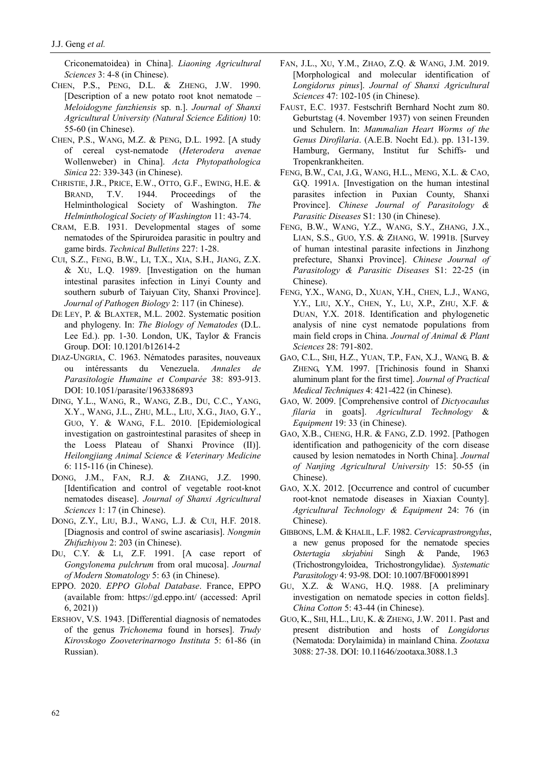Criconematoidea) in China]. *Liaoning Agricultural Sciences* 3: 4-8 (in Chinese).

- CHEN, P.S., PENG, D.L. & ZHENG, J.W. 1990. [Description of a new potato root knot nematode – *Meloidogyne fanzhiensis* sp. n.]. *Journal of Shanxi Agricultural University (Natural Science Edition)* 10: 55-60 (in Chinese).
- CHEN, P.S., WANG, M.Z. & PENG, D.L. 1992. [A study of cereal cyst-nematode (*Heterodera avenae* Wollenweber) in China]. *Acta Phytopathologica Sinica* 22: 339-343 (in Chinese).
- CHRISTIE, J.R., PRICE, E.W., OTTO, G.F., EWING, H.E. & BRAND, T.V. 1944. Proceedings of the Helminthological Society of Washington. *The Helminthological Society of Washington* 11: 43-74.
- CRAM, E.B. 1931. Developmental stages of some nematodes of the Spiruroidea parasitic in poultry and game birds. *Technical Bulletins* 227: 1-28.
- CUI, S.Z., FENG, B.W., LI, T.X., XIA, S.H., JIANG, Z.X. & XU, L.Q. 1989. [Investigation on the human intestinal parasites infection in Linyi County and southern suburb of Taiyuan City, Shanxi Province]. *Journal of Pathogen Biology* 2: 117 (in Chinese).
- DE LEY, P. & BLAXTER, M.L. 2002. Systematic position and phylogeny. In: *The Biology of Nematodes* (D.L. Lee Ed.). pp. 1-30. London, UK, Taylor & Francis Group. DOI[: 10.1201/b12614-2](https://doi.org/10.1201/b12614-2)
- DIAZ-UNGRIA, C. 1963. Nématodes parasites, nouveaux ou intéressants du Venezuela. *Annales de Parasitologie Humaine et Comparée* 38: 893-913. DOI: [10.1051/parasite/1963386893](https://doi.org/10.1051/parasite/1963386893)
- DING, Y.L., WANG, R., WANG, Z.B., DU, C.C., YANG, X.Y., WANG, J.L., ZHU, M.L., LIU, X.G., JIAO, G.Y., GUO, Y. & WANG, F.L. 2010. [Epidemiological investigation on gastrointestinal parasites of sheep in the Loess Plateau of Shanxi Province (II)]. *Heilongjiang Animal Science & Veterinary Medicine* 6: 115-116 (in Chinese).
- DONG, J.M., FAN, R.J. & ZHANG, J.Z. 1990. [Identification and control of vegetable root-knot nematodes disease]. *Journal of Shanxi Agricultural Sciences* 1: 17 (in Chinese).
- DONG, Z.Y., LIU, B.J., WANG, L.J. & CUI, H.F. 2018. [Diagnosis and control of swine ascariasis]. *Nongmin Zhifuzhiyou* 2: 203 (in Chinese).
- DU, C.Y. & LI, Z.F. 1991. [A case report of *Gongylonema pulchrum* from oral mucosa]. *Journal of Modern Stomatology* 5: 63 (in Chinese).
- EPPO. 2020. *EPPO Global Database*. France, EPPO (available from:<https://gd.eppo.int/> (accessed: April 6, 2021))
- ERSHOV, V.S. 1943. [Differential diagnosis of nematodes of the genus *Trichonema* found in horses]. *Trudy Kirovskogo Zooveterinarnogo Instituta* 5: 61-86 (in Russian).
- FAN, J.L., XU, Y.M., ZHAO, Z.Q. & WANG, J.M. 2019. [Morphological and molecular identification of *Longidorus pinus*]. *Journal of Shanxi Agricultural Sciences* 47: 102-105 (in Chinese).
- FAUST, E.C. 1937. Festschrift Bernhard Nocht zum 80. Geburtstag (4. November 1937) von seinen Freunden und Schulern. In: *Mammalian Heart Worms of the Genus Dirofilaria*. (A.E.B. Nocht Ed.). pp. 131-139. [Hamburg,](https://www.cabdirect.org/cabdirect/search/?q=lp:) Germany, [Institut fur Schiffs-](https://www.cabdirect.org/cabdirect/search/?q=pb:) und [Tropenkrankheiten.](https://www.cabdirect.org/cabdirect/search/?q=pb:)
- FENG, B.W., CAI, J.G., WANG, H.L., MENG, X.L. & CAO, G.Q. 1991A. [Investigation on the human intestinal parasites infection in Puxian County, Shanxi Province]. *Chinese Journal of Parasitology & Parasitic Diseases* S1: 130 (in Chinese).
- FENG, B.W., WANG, Y.Z., WANG, S.Y., ZHANG, J.X., LIAN, S.S., GUO, Y.S. & ZHANG, W. 1991B. [Survey of human intestinal parasite infections in Jinzhong prefecture, Shanxi Province]. *Chinese Journal of Parasitology & Parasitic Diseases* S1: 22-25 (in Chinese).
- FENG, Y.X., WANG, D., XUAN, Y.H., CHEN, L.J., WANG, Y.Y., LIU, X.Y., CHEN, Y., LU, X.P., ZHU, X.F. & DUAN, Y.X. 2018. Identification and phylogenetic analysis of nine cyst nematode populations from main field crops in China. *Journal of Animal & Plant Sciences* 28: 791-802.
- GAO, C.L., SHI, H.Z., YUAN, T.P., FAN, X.J., WANG, B. & ZHENG, Y.M. 1997. [Trichinosis found in Shanxi aluminum plant for the first time]. *Journal of Practical Medical Techniques* 4: 421-422 (in Chinese).
- GAO, W. 2009. [Comprehensive control of *Dictyocaulus filaria* in goats]. *Agricultural Technology* & *Equipment* 19: 33 (in Chinese).
- GAO, X.B., CHENG, H.R. & FANG, Z.D. 1992. [Pathogen identification and pathogenicity of the corn disease caused by lesion nematodes in North China]. *Journal of Nanjing Agricultural University* 15: 50-55 (in Chinese).
- GAO, X.X. 2012. [Occurrence and control of cucumber root-knot nematode diseases in Xiaxian County]. *Agricultural Technology & Equipment* 24: 76 (in Chinese).
- GIBBONS, L.M. & KHALIL, L.F. 1982. *Cervicaprastrongylus*, a new genus proposed for the nematode species *Ostertagia skrjabini* Singh & Pande, 1963 (Trichostrongyloidea, Trichostrongylidae). *Systematic Parasitology* 4: 93-98. DOI[: 10.1007/BF00018991](https://doi.org/10.1007/BF00018991)
- GU, X.Z. & WANG, H.Q. 1988. [A preliminary investigation on nematode species in cotton fields]. *China Cotton* 5: 43-44 (in Chinese).
- GUO, K., SHI, H.L., LIU, K. & ZHENG, J.W. 2011. Past and present distribution and hosts of *Longidorus* (Nematoda: Dorylaimida) in mainland China. *Zootaxa* 3088: 27-38. DOI[: 10.11646/zootaxa.3088.1.3](https://doi.org/10.11646/zootaxa.3088.1.3)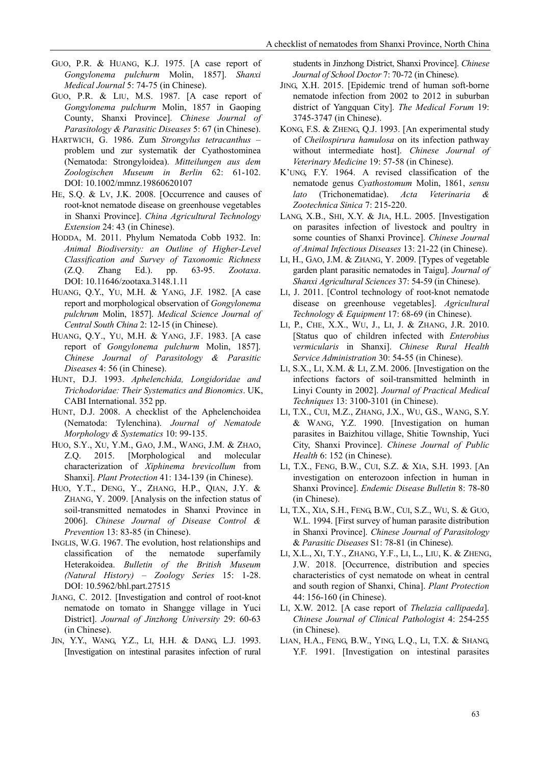- GUO, P.R. & HUANG, K.J. 1975. [A case report of *Gongylonema pulchurm* Molin, 1857]. *Shanxi Medical Journal* 5: 74-75 (in Chinese).
- GUO, P.R. & LIU, M.S. 1987. [A case report of *Gongylonema pulchurm* Molin, 1857 in Gaoping County, Shanxi Province]. *Chinese Journal of Parasitology & Parasitic Diseases* 5: 67 (in Chinese).
- HARTWICH, G. 1986. Zum *Strongylus tetracanthus* problem und zur systematik der Cyathostominea (Nematoda: Strongyloidea). *Mitteilungen aus dem Zoologischen Museum in Berlin* 62: 61-102. DOI: [10.1002/mmnz.19860620107](https://doi.org/10.1002/mmnz.19860620107)
- HE, S.Q. & LV, J.K. 2008. [Occurrence and causes of root-knot nematode disease on greenhouse vegetables in Shanxi Province]. *China Agricultural Technology Extension* 24: 43 (in Chinese).
- HODDA, M. 2011. Phylum Nematoda Cobb 1932. In: *Animal Biodiversity: an Outline of Higher-Level Classification and Survey of Taxonomic Richness*  (Z.Q. Zhang Ed.). pp. 63-95. *Zootaxa*. DOI: [10.11646/zootaxa.3148.1.11](https://doi.org/10.11646/zootaxa.3148.1.11)
- HUANG, Q.Y., YU, M.H. & YANG, J.F. 1982. [A case report and morphological observation of *Gongylonema pulchrum* Molin, 1857]. *Medical Science Journal of Central South China* 2: 12-15 (in Chinese).
- HUANG, Q.Y., YU, M.H. & YANG, J.F. 1983. [A case report of *Gongylonema pulchurm* Molin, 1857]. *Chinese Journal of Parasitology & Parasitic Diseases* 4: 56 (in Chinese).
- HUNT, D.J. 1993. *Aphelenchida, Longidoridae and Trichodoridae: Their Systematics and Bionomics*. UK, CABI International. 352 pp.
- HUNT, D.J. 2008. A checklist of the Aphelenchoidea (Nematoda: Tylenchina). *Journal of Nematode Morphology & Systematics* 10: 99-135.
- HUO, S.Y., XU, Y.M., GAO, J.M., WANG, J.M. & ZHAO, Z.Q. 2015. [Morphological and molecular characterization of *Xiphinema brevicollum* from Shanxi]. *Plant Protection* 41: 134-139 (in Chinese).
- HUO, Y.T., DENG, Y., ZHANG, H.P., QIAN, J.Y. & ZHANG, Y. 2009. [Analysis on the infection status of soil-transmitted nematodes in Shanxi Province in 2006]. *Chinese Journal of Disease Control & Prevention* 13: 83-85 (in Chinese).
- INGLIS, W.G. 1967. The evolution, host relationships and classification of the nematode superfamily Heterakoidea. *Bulletin of the British Museum (Natural History) – Zoology Series* 15: 1-28. DOI: [10.5962/bhl.part.27515](https://doi.org/10.5962/bhl.part.27515)
- JIANG, C. 2012. [Investigation and control of root-knot nematode on tomato in Shangge village in Yuci District]. *Journal of Jinzhong University* 29: 60-63 (in Chinese).
- JIN, Y.Y., WANG, Y.Z., LI, H.H. & DANG, L.J. 1993. [Investigation on intestinal parasites infection of rural

students in Jinzhong District, Shanxi Province]. *Chinese Journal of School Doctor* 7: 70-72 (in Chinese).

- JING, X.H. 2015. [Epidemic trend of human soft-borne nematode infection from 2002 to 2012 in suburban district of Yangquan City]. *The Medical Forum* 19: 3745-3747 (in Chinese).
- KONG, F.S. & ZHENG, Q.J. 1993. [An experimental study of *Cheilospirura hamulosa* on its infection pathway without intermediate host]. *Chinese Journal of Veterinary Medicine* 19: 57-58 (in Chinese).
- K'UNG, F.Y. 1964. A revised classification of the nematode genus *Cyathostomum* Molin, 1861, *sensu lato* (Trichonematidae). *Acta Veterinaria & Zootechnica Sinica* 7: 215-220.
- LANG, X.B., SHI, X.Y. & JIA, H.L. 2005. [Investigation on parasites infection of livestock and poultry in some counties of Shanxi Province]. *Chinese Journal of Animal Infectious Diseases* 13: 21-22 (in Chinese).
- LI, H., GAO, J.M. & ZHANG, Y. 2009. [Types of vegetable garden plant parasitic nematodes in Taigu]. *Journal of Shanxi Agricultural Sciences* 37: 54-59 (in Chinese).
- LI, J. 2011. [Control technology of root-knot nematode disease on greenhouse vegetables]. *Agricultural Technology & Equipment* 17: 68-69 (in Chinese).
- LI, P., CHE, X.X., WU, J., LI, J. & ZHANG, J.R. 2010. [Status quo of children infected with *Enterobius vermicularis* in Shanxi]. *Chinese Rural Health Service Administration* 30: 54-55 (in Chinese).
- LI, S.X., LI, X.M. & LI, Z.M. 2006. [Investigation on the infections factors of soil-transmitted helminth in Linyi County in 2002]. *Journal of Practical Medical Techniques* 13: 3100-3101 (in Chinese).
- LI, T.X., CUI, M.Z., ZHANG, J.X., WU, G.S., WANG, S.Y. & WANG, Y.Z. 1990. [Investigation on human parasites in Baizhitou village, Shitie Township, Yuci City, Shanxi Province]. *Chinese Journal of Public Health* 6: 152 (in Chinese).
- LI, T.X., FENG, B.W., CUI, S.Z. & XIA, S.H. 1993. [An investigation on enterozoon infection in human in Shanxi Province]. *Endemic Disease Bulletin* 8: 78-80 (in Chinese).
- LI, T.X., XIA, S.H., FENG, B.W., CUI, S.Z., WU, S. & GUO, W.L. 1994. [First survey of human parasite distribution in Shanxi Province]. *Chinese Journal of Parasitology* & *Parasitic Diseases* S1: 78-81 (in Chinese).
- LI, X.L., XI, T.Y., ZHANG, Y.F., LI, L., LIU, K. & ZHENG, J.W. 2018. [Occurrence, distribution and species characteristics of cyst nematode on wheat in central and south region of Shanxi, China]. *Plant Protection* 44: 156-160 (in Chinese).
- LI, X.W. 2012. [A case report of *Thelazia callipaeda*]. *Chinese Journal of Clinical Pathologist* 4: 254-255 (in Chinese).
- LIAN, H.A., FENG, B.W., YING, L.Q., LI, T.X. & SHANG, Y.F. 1991. [Investigation on intestinal parasites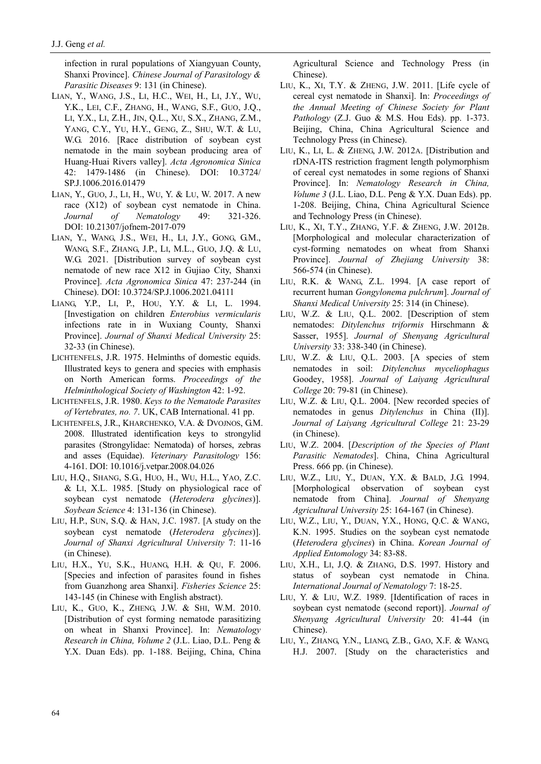infection in rural populations of Xiangyuan County, Shanxi Province]. *Chinese Journal of Parasitology & Parasitic Diseases* 9: 131 (in Chinese).

- LIAN, Y., WANG, J.S., LI, H.C., WEI, H., LI, J.Y., WU, Y.K., LEI, C.F., ZHANG, H., WANG, S.F., GUO, J.Q., LI, Y.X., LI, Z.H., JIN, Q.L., XU, S.X., ZHANG, Z.M., YANG, C.Y., YU, H.Y., GENG, Z., SHU, W.T. & LU, W.G. 2016. [Race distribution of soybean cyst nematode in the main soybean producing area of Huang-Huai Rivers valley]. *Acta Agronomica Sinica* 42: 1479-1486 (in Chinese). DOI: [10.3724/](https://doi.org/10.3724/SP.J.1006.2016.01479) [SP.J.1006.2016.01479](https://doi.org/10.3724/SP.J.1006.2016.01479)
- LIAN, Y., GUO, J., LI, H., WU, Y. & LU, W. 2017. A new race (X12) of soybean cyst nematode in China. *Journal of Nematology* 49: 321-326. DOI: [10.21307/jofnem-2017-079](https://doi.org/10.21307/jofnem-2017-079)
- LIAN, Y., WANG, J.S., WEI, H., LI, J.Y., GONG, G.M., WANG, S.F., ZHANG, J.P., LI, M.L., GUO, J.Q. & LU, W.G. 2021. [Distribution survey of soybean cyst nematode of new race X12 in Gujiao City, Shanxi Province]. *Acta Agronomica Sinica* 47: 237-244 (in Chinese). DOI[: 10.3724/SP.J.1006.2021.04111](https://doi.org/10.3724/SP.J.1006.2021.04111)
- LIANG, Y.P., LI, P., HOU, Y.Y. & LI, L. 1994. [Investigation on children *Enterobius vermicularis* infections rate in in Wuxiang County, Shanxi Province]. *Journal of Shanxi Medical University* 25: 32-33 (in Chinese).
- LICHTENFELS, J.R. 1975. Helminths of domestic equids. Illustrated keys to genera and species with emphasis on North American forms. *Proceedings of the Helminthological Society of Washington* 42: 1-92.
- LICHTENFELS, J.R. 1980. *Keys to the Nematode Parasites of Vertebrates, no. 7*. UK, CAB International. 41 pp.
- LICHTENFELS, J.R., KHARCHENKO, V.A. & DVOJNOS, G.M. 2008. Illustrated identification keys to strongylid parasites (Strongylidae: Nematoda) of horses, zebras and asses (Equidae). *Veterinary Parasitology* 156: 4-161. DOI: [10.1016/j.vetpar.2008.04.026](https://doi.org/10.1016/j.vetpar.2008.04.026)
- LIU, H.Q., SHANG, S.G., HUO, H., WU, H.L., YAO, Z.C. & LI, X.L. 1985. [Study on physiological race of soybean cyst nematode (*Heterodera glycines*)]. *Soybean Science* 4: 131-136 (in Chinese).
- LIU, H.P., SUN, S.Q. & HAN, J.C. 1987. [A study on the soybean cyst nematode (*Heterodera glycines*)]. *Journal of Shanxi Agricultural University* 7: 11-16 (in Chinese).
- LIU, H.X., YU, S.K., HUANG, H.H. & QU, F. 2006. [Species and infection of parasites found in fishes from Guanzhong area Shanxi]. *Fisheries Science* 25: 143-145 (in Chinese with English abstract).
- LIU, K., GUO, K., ZHENG, J.W. & SHI, W.M. 2010. [Distribution of cyst forming nematode parasitizing on wheat in Shanxi Province]. In: *Nematology Research in China, Volume 2* (J.L. Liao, D.L. Peng & Y.X. Duan Eds). pp. 1-188. Beijing, China, China

Agricultural Science and Technology Press (in Chinese).

- LIU, K., XI, T.Y. & ZHENG, J.W. 2011. [Life cycle of cereal cyst nematode in Shanxi]. In: *Proceedings of the Annual Meeting of Chinese Society for Plant Pathology* (Z.J. Guo & M.S. Hou Eds). pp. 1-373. Beijing, China, China Agricultural Science and Technology Press (in Chinese).
- LIU, K., LI, L. & ZHENG, J.W. 2012A. [Distribution and rDNA-ITS restriction fragment length polymorphism of cereal cyst nematodes in some regions of Shanxi Province]. In: *Nematology Research in China, Volume 3* (J.L. Liao, D.L. Peng & Y.X. Duan Eds). pp. 1-208. Beijing, China, China Agricultural Science and Technology Press (in Chinese).
- LIU, K., XI, T.Y., ZHANG, Y.F. & ZHENG, J.W. 2012B. [Morphological and molecular characterization of cyst-forming nematodes on wheat from Shanxi Province]. *Journal of Zhejiang University* 38: 566-574 (in Chinese).
- LIU, R.K. & WANG, Z.L. 1994. [A case report of recurrent human *Gongylonema pulchrum*]. *Journal of Shanxi Medical University* 25: 314 (in Chinese).
- LIU, W.Z. & LIU, Q.L. 2002. [Description of stem nematodes: *Ditylenchus triformis* Hirschmann & Sasser, 1955]. *Journal of Shenyang Agricultural University* 33: 338-340 (in Chinese).
- LIU, W.Z. & LIU, Q.L. 2003. [A species of stem nematodes in soil: *Ditylenchus myceliophagus* Goodey, 1958]. *Journal of Laiyang Agricultural College* 20: 79-81 (in Chinese).
- LIU, W.Z. & LIU, Q.L. 2004. [New recorded species of nematodes in genus *Ditylenchus* in China (II)]. *Journal of Laiyang Agricultural College* 21: 23-29 (in Chinese).
- LIU, W.Z. 2004. [*Description of the Species of Plant Parasitic Nematodes*]. China, China Agricultural Press. 666 pp. (in Chinese).
- LIU, W.Z., LIU, Y., DUAN, Y.X. & BALD, J.G. 1994. [Morphological observation of soybean cyst nematode from China]. *Journal of Shenyang Agricultural University* 25: 164-167 (in Chinese).
- LIU, W.Z., LIU, Y., DUAN, Y.X., HONG, Q.C. & WANG, K.N. 1995. Studies on the soybean cyst nematode (*Heterodera glycines*) in China. *Korean Journal of Applied Entomology* 34: 83-88.
- LIU, X.H., LI, J.Q. & ZHANG, D.S. 1997. History and status of soybean cyst nematode in China. *International Journal of Nematology* 7: 18-25.
- LIU, Y. & LIU, W.Z. 1989. [Identification of races in soybean cyst nematode (second report)]. *Journal of Shenyang Agricultural University* 20: 41-44 (in Chinese).
- LIU, Y., ZHANG, Y.N., LIANG, Z.B., GAO, X.F. & WANG, H.J. 2007. [Study on the characteristics and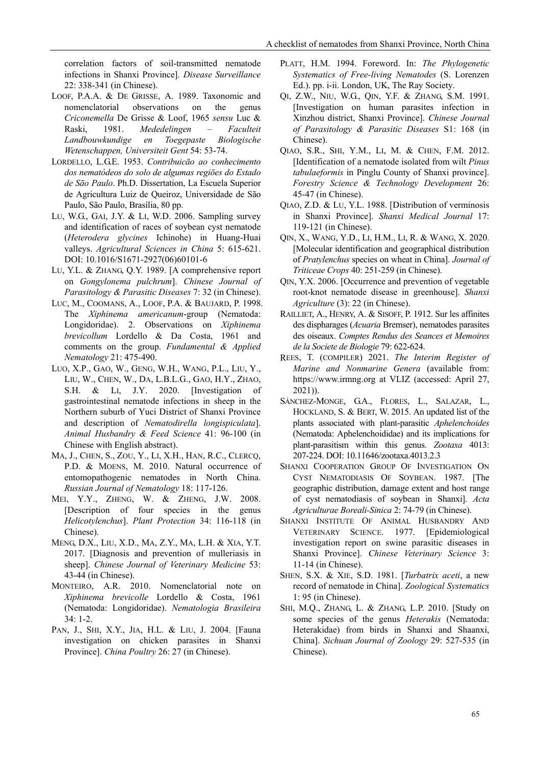correlation factors of soil-transmitted nematode infections in Shanxi Province]. *Disease Surveillance* 22: 338-341 (in Chinese).

- LOOF, P.A.A. & DE GRISSE, A. 1989. Taxonomic and nomenclatorial observations on the genus *Criconemella* De Grisse & Loof, 1965 *sensu* Luc & Raski, 1981. *Mededelingen – Faculteit Landbouwkundige en Toegepaste Biologische Wetenschappen, Universiteit Gent* 54: 53-74.
- LORDELLO, L.G.E. 1953. *Contribuicāo ao conhecimento dos nematódeos do solo de algumas regiōes do Estado de Sāo Paulo*. Ph.D. Dissertation, La Escuela Superior de Agricultura Luiz de Queiroz, Universidade de São Paulo, São Paulo, Brasília, 80 pp.
- LU, W.G., GAI, J.Y. & LI, W.D. 2006. Sampling survey and identification of races of soybean cyst nematode (*Heterodera glycines* Ichinohe) in Huang-Huai valleys. *Agricultural Sciences in China* 5: 615-621. DOI: [10.1016/S1671-2927\(06\)60101-6](https://doi.org/10.1016/S1671-2927(06)60101-6)
- LU, Y.L. & ZHANG, Q.Y. 1989. [A comprehensive report on *Gongylonema pulchrum*]. *Chinese Journal of Parasitology & Parasitic Diseases* 7: 32 (in Chinese).
- LUC, M., COOMANS, A., LOOF, P.A. & BAUJARD, P. 1998. The *Xiphinema americanum*-group (Nematoda: Longidoridae). 2. Observations on *Xiphinema brevicollum* Lordello & Da Costa, 1961 and comments on the group. *Fundamental & Applied Nematology* 21: 475-490.
- LUO, X.P., GAO, W., GENG, W.H., WANG, P.L., LIU, Y., LIU, W., CHEN, W., DA, L.B.L.G., GAO, H.Y., ZHAO, S.H. & LI, J.Y. 2020. [Investigation of gastrointestinal nematode infections in sheep in the Northern suburb of Yuci District of Shanxi Province and description of *Nematodirella longispiculata*]. *Animal Husbandry & Feed Science* 41: 96-100 (in Chinese with English abstract).
- MA, J., CHEN, S., ZOU, Y., LI, X.H., HAN, R.C., CLERCQ, P.D. & MOENS, M. 2010. Natural occurrence of entomopathogenic nematodes in North China. *Russian Journal of Nematology* 18: 117-126.
- MEI, Y.Y., ZHENG, W. & ZHENG, J.W. 2008. [Description of four species in the genus *Helicotylenchus*]. *Plant Protection* 34: 116-118 (in Chinese).
- MENG, D.X., LIU, X.D., MA, Z.Y., MA, L.H. & XIA, Y.T. 2017. [Diagnosis and prevention of mulleriasis in sheep]. *Chinese Journal of Veterinary Medicine* 53: 43-44 (in Chinese).
- MONTEIRO, A.R. 2010. Nomenclatorial note on *Xiphinema brevicolle* Lordello & Costa, 1961 (Nematoda: Longidoridae). *Nematologia Brasileira* 34: 1-2.
- PAN, J., SHI, X.Y., JIA, H.L. & LIU, J. 2004. [Fauna investigation on chicken parasites in Shanxi Province]. *China Poultry* 26: 27 (in Chinese).
- PLATT, H.M. 1994. Foreword. In: *The Phylogenetic Systematics of Free-living Nematodes* (S. Lorenzen Ed.). pp. i-ii. London, UK, The Ray Society.
- QI, Z.W., NIU, W.G., QIN, Y.F. & ZHANG, S.M. 1991. [Investigation on human parasites infection in Xinzhou district, Shanxi Province]. *Chinese Journal of Parasitology & Parasitic Diseases* S1: 168 (in Chinese).
- QIAO, S.R., SHI, Y.M., LI, M. & CHEN, F.M. 2012. [Identification of a nematode isolated from wilt *Pinus tabulaeformis* in Pinglu County of Shanxi province]. *Forestry Science & Technology Development* 26: 45-47 (in Chinese).
- QIAO, Z.D. & LU, Y.L. 1988. [Distribution of verminosis in Shanxi Province]. *Shanxi Medical Journal* 17: 119-121 (in Chinese).
- QIN, X., WANG, Y.D., LI, H.M., LI, R. & WANG, X. 2020. [Molecular identification and geographical distribution of *Pratylenchus* species on wheat in China]. *Journal of Triticeae Crops* 40: 251-259 (in Chinese).
- QIN, Y.X. 2006. [Occurrence and prevention of vegetable root-knot nematode disease in greenhouse]. *Shanxi Agriculture* (3): 22 (in Chinese).
- RAILLIET, A., HENRY, A. & SISOFF, P. 1912. Sur les affinites des dispharages (*Acuaria* Bremser), nematodes parasites des oiseaux. *Comptes Rendus des Seances et Memoires de la Societe de Biologie* 79: 622-624.
- REES, T. (COMPILER) 2021. *The Interim Register of Marine and Nonmarine Genera* (available from: https://www.irmng.org at VLIZ (accessed: April 27, 2021)).
- SÁNCHEZ-MONGE, G.A., FLORES, L., SALAZAR, L., HOCKLAND, S. & BERT, W. 2015. An updated list of the plants associated with plant-parasitic *Aphelenchoides* (Nematoda: Aphelenchoididae) and its implications for plant-parasitism within this genus. *Zootaxa* 4013: 207-224. DOI: 10.11646/zootaxa.4013.2.3
- SHANXI COOPERATION GROUP OF INVESTIGATION ON CYST NEMATODIASIS OF SOYBEAN. 1987. [The geographic distribution, damage extent and host range of cyst nematodiasis of soybean in Shanxi]. *Acta Agriculturae Boreali-Sinica* 2: 74-79 (in Chinese).
- SHANXI INSTITUTE OF ANIMAL HUSBANDRY AND VETERINARY SCIENCE. 1977. [Epidemiological investigation report on swine parasitic diseases in Shanxi Province]. *Chinese Veterinary Science* 3: 11-14 (in Chinese).
- SHEN, S.X. & XIE, S.D. 1981. [*Turbatrix aceti*, a new record of nematode in China]. *Zoological Systematics* 1: 95 (in Chinese).
- SHI, M.Q., ZHANG, L. & ZHANG, L.P. 2010. [Study on some species of the genus *Heterakis* (Nematoda: Heterakidae) from birds in Shanxi and Shaanxi, China]. *Sichuan Journal of Zoology* 29: 527-535 (in Chinese).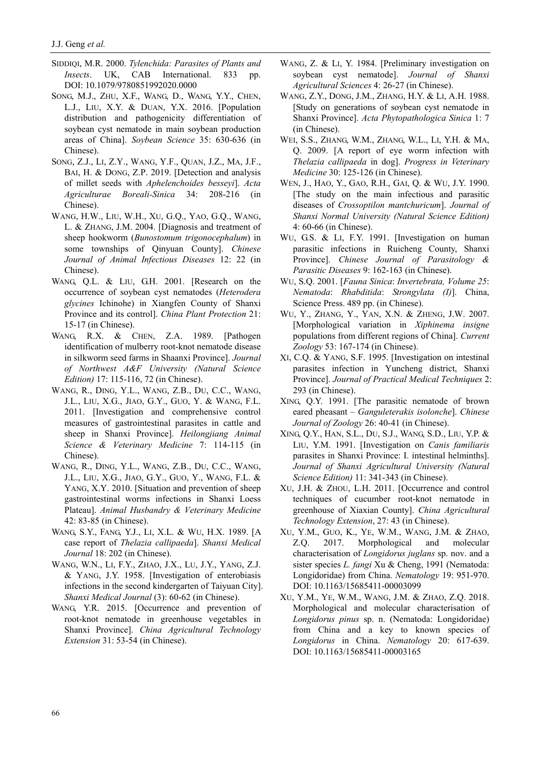- SIDDIQI, M.R. 2000. *Tylenchida: Parasites of Plants and Insects*. UK, CAB International. 833 pp. DOI: [10.1079/9780851992020.0000](https://doi.org/10.1079/9780851992020.0000)
- SONG, M.J., ZHU, X.F., WANG, D., WANG, Y.Y., CHEN, L.J., LIU, X.Y. & DUAN, Y.X. 2016. [Population distribution and pathogenicity differentiation of soybean cyst nematode in main soybean production areas of China]. *Soybean Science* 35: 630-636 (in Chinese).
- SONG, Z.J., LI, Z.Y., WANG, Y.F., QUAN, J.Z., MA, J.F., BAI, H. & DONG, Z.P. 2019. [Detection and analysis of millet seeds with *Aphelenchoides besseyi*]. *Acta Agriculturae Boreali-Sinica* 34: 208-216 (in Chinese).
- WANG, H.W., LIU, W.H., XU, G.Q., YAO, G.Q., WANG, L. & ZHANG, J.M. 2004. [Diagnosis and treatment of sheep hookworm (*[Bunostomum](https://cn.bing.com/dict/search?q=Bunostomum&FORM=BDVSP6&mkt=zh-cn) [trigonocephalum](https://cn.bing.com/dict/search?q=trigonocephalum&FORM=BDVSP6&mkt=zh-cn)*) in some townships of Qinyuan County]. *Chinese Journal of Animal Infectious Diseases* 12: 22 (in Chinese).
- WANG, Q.L. & LIU, G.H. 2001. [Research on the occurrence of soybean cyst nematodes (*Heterodera glycines* Ichinohe) in Xiangfen County of Shanxi Province and its control]. *China Plant Protection* 21: 15-17 (in Chinese).
- WANG, R.X. & CHEN, Z.A. 1989. [Pathogen identification of mulberry root-knot nematode disease in silkworm seed farms in Shaanxi Province]. *Journal of Northwest A&F University (Natural Science Edition)* 17: 115-116, 72 (in Chinese).
- WANG, R., DING, Y.L., WANG, Z.B., DU, C.C., WANG, J.L., LIU, X.G., JIAO, G.Y., GUO, Y. & WANG, F.L. 2011. [Investigation and comprehensive control measures of gastrointestinal parasites in cattle and sheep in Shanxi Province]. *Heilongjiang Animal Science & Veterinary Medicine* 7: 114-115 (in Chinese).
- WANG, R., DING, Y.L., WANG, Z.B., DU, C.C., WANG, J.L., LIU, X.G., JIAO, G.Y., GUO, Y., WANG, F.L. & YANG, X.Y. 2010. [Situation and prevention of sheep gastrointestinal worms infections in Shanxi Loess Plateau]. *Animal Husbandry & Veterinary Medicine* 42: 83-85 (in Chinese).
- WANG, S.Y., FANG, Y.J., LI, X.L. & WU, H.X. 1989. [A case report of *Thelazia callipaeda*]. *Shanxi Medical Journal* 18: 202 (in Chinese).
- WANG, W.N., LI, F.Y., ZHAO, J.X., LU, J.Y., YANG, Z.J. & YANG, J.Y. 1958. [Investigation of enterobiasis infections in the second kindergarten of Taiyuan City]. *Shanxi Medical Journal* (3): 60-62 (in Chinese).
- WANG, Y.R. 2015. [Occurrence and prevention of root-knot nematode in greenhouse vegetables in Shanxi Province]. *China Agricultural Technology Extension* 31: 53-54 (in Chinese).
- WANG, Z. & LI, Y. 1984. [Preliminary investigation on soybean cyst nematode]. *Journal of Shanxi Agricultural Sciences* 4: 26-27 (in Chinese).
- WANG, Z.Y., DONG, J.M., ZHANG, H.Y. & LI, A.H. 1988. [Study on generations of soybean cyst nematode in Shanxi Province]. *Acta Phytopathologica Sinica* 1: 7 (in Chinese).
- WEI, S.S., ZHANG, W.M., ZHANG, W.L., LI, Y.H. & MA, Q. 2009. [A report of eye worm infection with *Thelazia callipaeda* in dog]. *Progress in Veterinary Medicine* 30: 125-126 (in Chinese).
- WEN, J., HAO, Y., GAO, R.H., GAI, Q. & WU, J.Y. 1990. [The study on the main infectious and parasitic diseases of *Crossoptilon mantchuricum*]. *Journal of Shanxi Normal University (Natural Science Edition)* 4: 60-66 (in Chinese).
- WU, G.S. & LI, F.Y. 1991. [Investigation on human parasitic infections in Ruicheng County, Shanxi Province]. *Chinese Journal of Parasitology & Parasitic Diseases* 9: 162-163 (in Chinese).
- WU, S.Q. 2001. [*Fauna Sinica*: *Invertebrata, Volume 25*: *Nematoda*: *Rhabditida*: *Strongylata (I)*]. China, Science Press. 489 pp. (in Chinese).
- WU, Y., ZHANG, Y., YAN, X.N. & ZHENG, J.W. 2007. [Morphological variation in *Xiphinema insigne* populations from different regions of China]. *Current Zoology* 53: 167-174 (in Chinese).
- XI, C.Q. & YANG, S.F. 1995. [Investigation on intestinal parasites infection in Yuncheng district, Shanxi Province]. *Journal of Practical Medical Techniques* 2: 293 (in Chinese).
- XING, Q.Y. 1991. [The parasitic nematode of brown eared pheasant – *Ganguleterakis isolonche*]. *Chinese Journal of Zoology* 26: 40-41 (in Chinese).
- XING, Q.Y., HAN, S.L., DU, S.J., WANG, S.D., LIU, Y.P. & LIU, Y.M. 1991. [Investigation on *Canis familiaris* parasites in Shanxi Province: I. intestinal helminths]. *Journal of Shanxi Agricultural University (Natural Science Edition)* 11: 341-343 (in Chinese).
- XU, J.H. & ZHOU, L.H. 2011. [Occurrence and control techniques of cucumber root-knot nematode in greenhouse of Xiaxian County]. *China Agricultural Technology Extension*, 27: 43 (in Chinese).
- XU, Y.M., GUO, K., YE, W.M., WANG, J.M. & ZHAO, Z.Q. 2017. Morphological and molecular characterisation of *Longidorus juglans* sp. nov. and a sister species *L. fangi* Xu & Cheng, 1991 (Nematoda: Longidoridae) from China. *Nematology* 19: 951-970. DOI[: 10.1163/15685411-00003099](https://doi.org/10.1163/15685411-00003099)
- XU, Y.M., YE, W.M., WANG, J.M. & ZHAO, Z.Q. 2018. Morphological and molecular characterisation of *Longidorus pinus* sp. n. (Nematoda: Longidoridae) from China and a key to known species of *Longidorus* in China. *Nematology* 20: 617-639. DOI: [10.1163/15685411-00003165](https://doi.org/10.1163/15685411-00003165)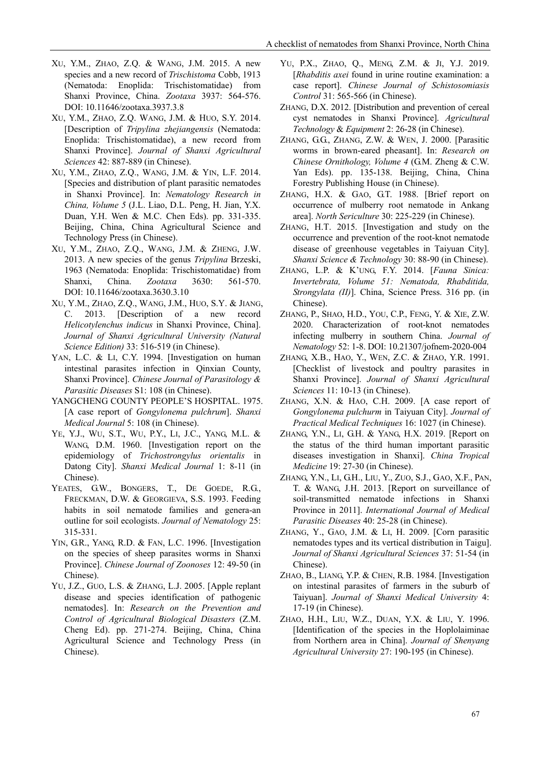- XU, Y.M., ZHAO, Z.Q. & WANG, J.M. 2015. A new species and a new record of *Trischistoma* Cobb, 1913 (Nematoda: Enoplida: Trischistomatidae) from Shanxi Province, China. *Zootaxa* 3937: 564-576. DOI: [10.11646/zootaxa.3937.3.8](https://doi.org/10.11646/zootaxa.3937.3.8)
- XU, Y.M., ZHAO, Z.Q. WANG, J.M. & HUO, S.Y. 2014. [Description of *Tripylina zhejiangensis* (Nematoda: Enoplida: Trischistomatidae), a new record from Shanxi Province]. *Journal of Shanxi Agricultural Sciences* 42: 887-889 (in Chinese).
- XU, Y.M., ZHAO, Z.Q., WANG, J.M. & YIN, L.F. 2014. [Species and distribution of plant parasitic nematodes in Shanxi Province]. In: *Nematology Research in China, Volume 5* (J.L. Liao, D.L. Peng, H. Jian, Y.X. Duan, Y.H. Wen & M.C. Chen Eds). pp. 331-335. Beijing, China, China Agricultural Science and Technology Press (in Chinese).
- XU, Y.M., ZHAO, Z.Q., WANG, J.M. & ZHENG, J.W. 2013. A new species of the genus *Tripylina* Brzeski, 1963 (Nematoda: Enoplida: Trischistomatidae) from Shanxi, China. *Zootaxa* 3630: 561-570. DOI: [10.11646/zootaxa.3630.3.10](https://doi.org/10.11646/zootaxa.3630.3.10)
- XU, Y.M., ZHAO, Z.Q., WANG, J.M., HUO, S.Y. & JIANG, C. 2013. [Description of a new record *Helicotylenchus indicus* in Shanxi Province, China]. *Journal of Shanxi Agricultural University (Natural Science Edition)* 33: 516-519 (in Chinese).
- YAN, L.C. & LI, C.Y. 1994. [Investigation on human intestinal parasites infection in Qinxian County, Shanxi Province]. *Chinese Journal of Parasitology & Parasitic Diseases* S1: 108 (in Chinese).
- YANGCHENG COUNTY PEOPLE'S HOSPITAL. 1975. [A case report of *Gongylonema pulchrum*]. *Shanxi Medical Journal* 5: 108 (in Chinese).
- YE, Y.J., WU, S.T., WU, P.Y., LI, J.C., YANG, M.L. & WANG, D.M. 1960. [Investigation report on the epidemiology of *Trichostrongylus orientalis* in Datong City]. *Shanxi Medical Journal* 1: 8-11 (in Chinese).
- YEATES, G.W., BONGERS, T., DE GOEDE, R.G., FRECKMAN, D.W. & GEORGIEVA, S.S. 1993. Feeding habits in soil nematode families and genera-an outline for soil ecologists. *Journal of Nematology* 25: 315-331.
- YIN, G.R., YANG, R.D. & FAN, L.C. 1996. [Investigation on the species of sheep parasites worms in Shanxi Province]. *Chinese Journal of Zoonoses* 12: 49-50 (in Chinese).
- YU, J.Z., GUO, L.S. & ZHANG, L.J. 2005. [Apple replant disease and species identification of pathogenic nematodes]. In: *Research on the Prevention and Control of Agricultural Biological Disasters* (Z.M. Cheng Ed). pp. 271-274. Beijing, China, China Agricultural Science and Technology Press (in Chinese).
- YU, P.X., ZHAO, Q., MENG, Z.M. & JI, Y.J. 2019. [*Rhabditis axei* found in urine routine examination: a case report]. *Chinese Journal of Schistosomiasis Control* 31: 565-566 (in Chinese).
- ZHANG, D.X. 2012. [Distribution and prevention of cereal cyst nematodes in Shanxi Province]. *Agricultural Technology* & *Equipment* 2: 26-28 (in Chinese).
- ZHANG, G.G., ZHANG, Z.W. & WEN, J. 2000. [Parasitic worms in brown-eared pheasant]. In: *Research on Chinese Ornithology, Volume 4* (G.M. Zheng & C.W. Yan Eds). pp. 135-138. Beijing, China, China Forestry Publishing House (in Chinese).
- ZHANG, H.X. & GAO, G.T. 1988. [Brief report on occurrence of mulberry root nematode in Ankang area]. *North Sericulture* 30: 225-229 (in Chinese).
- ZHANG, H.T. 2015. [Investigation and study on the occurrence and prevention of the root-knot nematode disease of greenhouse vegetables in Taiyuan City]. *Shanxi Science & Technology* 30: 88-90 (in Chinese).
- ZHANG, L.P. & K'UNG, F.Y. 2014. [*Fauna Sinica: Invertebrata, Volume 51: Nematoda, Rhabditida, Strongylata (II)*]. China, Science Press. 316 pp. (in Chinese).
- ZHANG, P., SHAO, H.D., YOU, C.P., FENG, Y. & XIE, Z.W. 2020. Characterization of root-knot nematodes infecting mulberry in southern China. *Journal of Nematology* 52: 1-8. DOI[: 10.21307/jofnem-2020-004](https://doi.org/10.21307/jofnem-2020-004)
- ZHANG, X.B., HAO, Y., WEN, Z.C. & ZHAO, Y.R. 1991. [Checklist of livestock and poultry parasites in Shanxi Province]. *Journal of Shanxi Agricultural Sciences* 11: 10-13 (in Chinese).
- ZHANG, X.N. & HAO, C.H. 2009. [A case report of *Gongylonema pulchurm* in Taiyuan City]. *Journal of Practical Medical Techniques* 16: 1027 (in Chinese).
- ZHANG, Y.N., LI, G.H. & YANG, H.X. 2019. [Report on the status of the third human important parasitic diseases investigation in Shanxi]. *China Tropical Medicine* 19: 27-30 (in Chinese).
- ZHANG, Y.N., LI, G.H., LIU, Y., ZUO, S.J., GAO, X.F., PAN, T. & WANG, J.H. 2013. [Report on surveillance of soil-transmitted nematode infections in Shanxi Province in 2011]. *International Journal of Medical Parasitic Diseases* 40: 25-28 (in Chinese).
- ZHANG, Y., GAO, J.M. & LI, H. 2009. [Corn parasitic nematodes types and its vertical distribution in Taigu]. *Journal of Shanxi Agricultural Sciences* 37: 51-54 (in Chinese).
- ZHAO, B., LIANG, Y.P. & CHEN, R.B. 1984. [Investigation on intestinal parasites of farmers in the suburb of Taiyuan]. *Journal of Shanxi Medical University* 4: 17-19 (in Chinese).
- ZHAO, H.H., LIU, W.Z., DUAN, Y.X. & LIU, Y. 1996. [Identification of the species in the Hoplolaiminae from Northern area in China]. *Journal of Shenyang Agricultural University* 27: 190-195 (in Chinese).